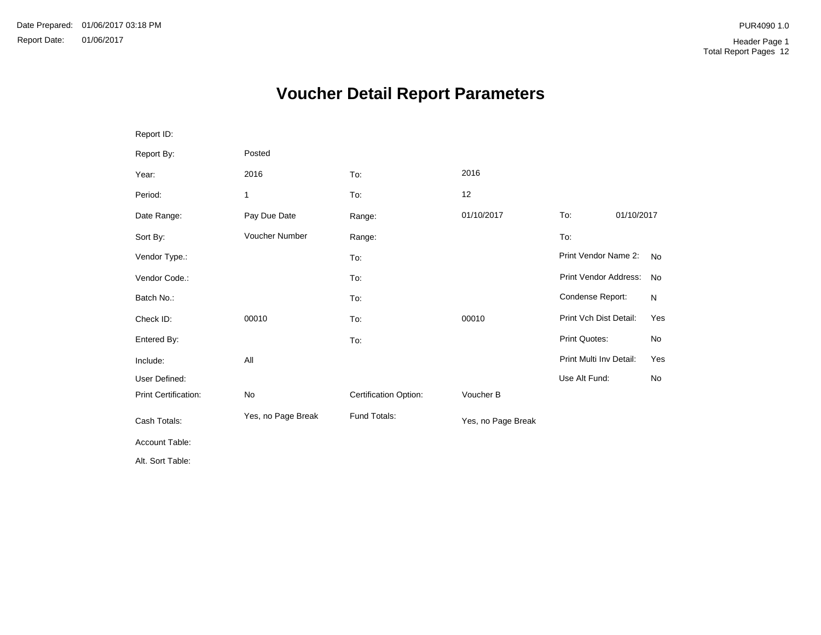# **Voucher Detail Report Parameters**

| Report ID:           |                    |                       |                    |                         |            |           |
|----------------------|--------------------|-----------------------|--------------------|-------------------------|------------|-----------|
| Report By:           | Posted             |                       |                    |                         |            |           |
| Year:                | 2016               | To:                   | 2016               |                         |            |           |
| Period:              | 1                  | To:                   | 12                 |                         |            |           |
| Date Range:          | Pay Due Date       | Range:                | 01/10/2017         | To:                     | 01/10/2017 |           |
| Sort By:             | Voucher Number     | Range:                |                    | To:                     |            |           |
| Vendor Type.:        |                    | To:                   |                    | Print Vendor Name 2:    |            | <b>No</b> |
| Vendor Code.:        |                    | To:                   |                    | Print Vendor Address:   |            | No        |
| Batch No.:           |                    | To:                   |                    | Condense Report:        |            | N         |
| Check ID:            | 00010              | To:                   | 00010              | Print Vch Dist Detail:  |            | Yes       |
| Entered By:          |                    | To:                   |                    | Print Quotes:           |            | No        |
| Include:             | All                |                       |                    | Print Multi Inv Detail: |            | Yes       |
| User Defined:        |                    |                       |                    | Use Alt Fund:           |            | No        |
| Print Certification: | No                 | Certification Option: | Voucher B          |                         |            |           |
| Cash Totals:         | Yes, no Page Break | Fund Totals:          | Yes, no Page Break |                         |            |           |
| Account Table:       |                    |                       |                    |                         |            |           |
| Alt. Sort Table:     |                    |                       |                    |                         |            |           |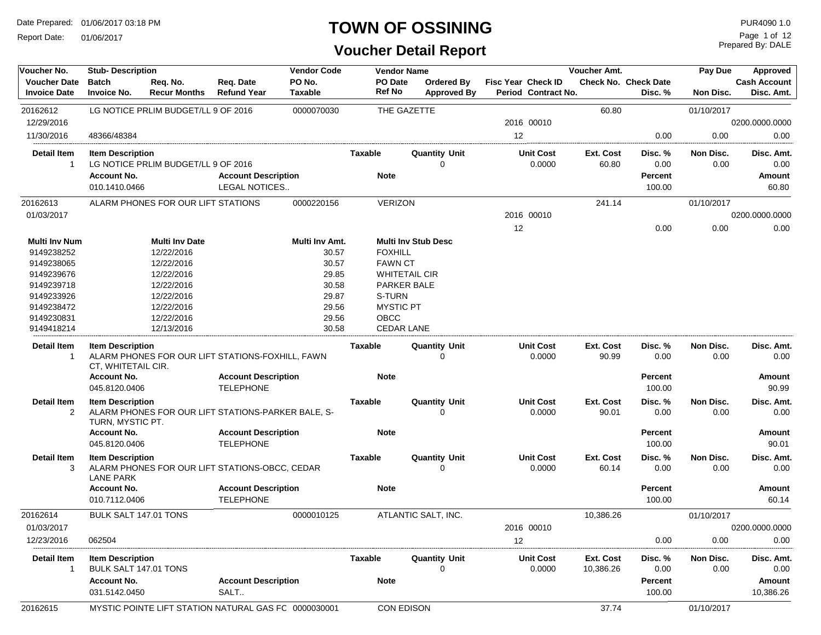Report Date: 01/06/2017

### **TOWN OF OSSINING**

## **Voucher Detail Report**

Prepared By: DALE Page 1 of 12

| Voucher No.                                | <b>Stub-Description</b>                          |                                                      |                                                    | <b>Vendor Code</b>       |                          | <b>Vendor Name</b>   |                                  |                                                  | Voucher Amt.           |                                        | Pay Due           | Approved                          |
|--------------------------------------------|--------------------------------------------------|------------------------------------------------------|----------------------------------------------------|--------------------------|--------------------------|----------------------|----------------------------------|--------------------------------------------------|------------------------|----------------------------------------|-------------------|-----------------------------------|
| <b>Voucher Date</b><br><b>Invoice Date</b> | <b>Batch</b><br><b>Invoice No.</b>               | Req. No.<br><b>Recur Months</b>                      | Req. Date<br><b>Refund Year</b>                    | PO No.<br><b>Taxable</b> | PO Date<br><b>Ref No</b> |                      | Ordered By<br><b>Approved By</b> | <b>Fisc Year Check ID</b><br>Period Contract No. |                        | <b>Check No. Check Date</b><br>Disc. % | Non Disc.         | <b>Cash Account</b><br>Disc. Amt. |
| 20162612                                   |                                                  | LG NOTICE PRLIM BUDGET/LL 9 OF 2016                  |                                                    | 0000070030               |                          | THE GAZETTE          |                                  |                                                  | 60.80                  |                                        | 01/10/2017        |                                   |
| 12/29/2016                                 |                                                  |                                                      |                                                    |                          |                          |                      |                                  | 2016 00010                                       |                        |                                        |                   | 0200.0000.0000                    |
| 11/30/2016                                 | 48366/48384                                      |                                                      |                                                    |                          |                          |                      |                                  | 12                                               |                        | 0.00                                   | 0.00              | 0.00                              |
| <b>Detail Item</b><br>1                    | <b>Item Description</b>                          | LG NOTICE PRLIM BUDGET/LL 9 OF 2016                  |                                                    |                          | Taxable                  |                      | <b>Quantity Unit</b><br>$\Omega$ | <b>Unit Cost</b><br>0.0000                       | Ext. Cost<br>60.80     | Disc. %<br>0.00                        | Non Disc.<br>0.00 | Disc. Amt.<br>0.00                |
|                                            | <b>Account No.</b><br>010.1410.0466              |                                                      | <b>Account Description</b><br><b>LEGAL NOTICES</b> |                          | <b>Note</b>              |                      |                                  |                                                  |                        | <b>Percent</b><br>100.00               |                   | Amount<br>60.80                   |
| 20162613                                   |                                                  | ALARM PHONES FOR OUR LIFT STATIONS                   |                                                    | 0000220156               |                          | <b>VERIZON</b>       |                                  |                                                  | 241.14                 |                                        | 01/10/2017        |                                   |
| 01/03/2017                                 |                                                  |                                                      |                                                    |                          |                          |                      |                                  | 2016 00010                                       |                        |                                        |                   | 0200.0000.0000                    |
|                                            |                                                  |                                                      |                                                    |                          |                          |                      |                                  | 12                                               |                        | 0.00                                   | 0.00              | 0.00                              |
| <b>Multi Inv Num</b>                       |                                                  | <b>Multi Inv Date</b>                                |                                                    | Multi Inv Amt.           |                          |                      | <b>Multi Inv Stub Desc</b>       |                                                  |                        |                                        |                   |                                   |
| 9149238252                                 |                                                  | 12/22/2016                                           |                                                    | 30.57                    | <b>FOXHILL</b>           |                      |                                  |                                                  |                        |                                        |                   |                                   |
| 9149238065                                 |                                                  | 12/22/2016                                           |                                                    | 30.57                    |                          | <b>FAWN CT</b>       |                                  |                                                  |                        |                                        |                   |                                   |
| 9149239676                                 |                                                  | 12/22/2016                                           |                                                    | 29.85                    |                          | <b>WHITETAIL CIR</b> |                                  |                                                  |                        |                                        |                   |                                   |
| 9149239718                                 |                                                  | 12/22/2016                                           |                                                    | 30.58                    |                          | PARKER BALE          |                                  |                                                  |                        |                                        |                   |                                   |
| 9149233926                                 |                                                  | 12/22/2016                                           |                                                    | 29.87                    | S-TURN                   |                      |                                  |                                                  |                        |                                        |                   |                                   |
| 9149238472                                 |                                                  | 12/22/2016                                           |                                                    | 29.56                    |                          | <b>MYSTIC PT</b>     |                                  |                                                  |                        |                                        |                   |                                   |
| 9149230831                                 |                                                  | 12/22/2016                                           |                                                    | 29.56                    | OBCC                     |                      |                                  |                                                  |                        |                                        |                   |                                   |
| 9149418214                                 |                                                  | 12/13/2016                                           |                                                    | 30.58                    |                          | <b>CEDAR LANE</b>    |                                  |                                                  |                        |                                        |                   |                                   |
| <b>Detail Item</b><br>$\mathbf{1}$         | <b>Item Description</b>                          | ALARM PHONES FOR OUR LIFT STATIONS-FOXHILL, FAWN     |                                                    |                          | <b>Taxable</b>           |                      | <b>Quantity Unit</b>             | <b>Unit Cost</b><br>0.0000                       | Ext. Cost<br>90.99     | Disc. %<br>0.00                        | Non Disc.<br>0.00 | Disc. Amt.<br>0.00                |
|                                            | CT, WHITETAIL CIR.                               |                                                      |                                                    |                          |                          |                      |                                  |                                                  |                        |                                        |                   |                                   |
|                                            | <b>Account No.</b>                               |                                                      | <b>Account Description</b><br><b>TELEPHONE</b>     |                          | <b>Note</b>              |                      |                                  |                                                  |                        | Percent<br>100.00                      |                   | Amount<br>90.99                   |
|                                            | 045.8120.0406                                    |                                                      |                                                    |                          |                          |                      |                                  |                                                  |                        |                                        |                   |                                   |
| <b>Detail Item</b><br>$\overline{2}$       | <b>Item Description</b><br>TURN, MYSTIC PT.      | ALARM PHONES FOR OUR LIFT STATIONS-PARKER BALE, S-   |                                                    |                          | Taxable                  |                      | <b>Quantity Unit</b><br>$\Omega$ | <b>Unit Cost</b><br>0.0000                       | Ext. Cost<br>90.01     | Disc. %<br>0.00                        | Non Disc.<br>0.00 | Disc. Amt.<br>0.00                |
|                                            | <b>Account No.</b><br>045.8120.0406              |                                                      | <b>Account Description</b><br><b>TELEPHONE</b>     |                          | <b>Note</b>              |                      |                                  |                                                  |                        | Percent<br>100.00                      |                   | Amount<br>90.01                   |
| <b>Detail Item</b>                         | <b>Item Description</b>                          |                                                      |                                                    |                          | Taxable                  |                      | <b>Quantity Unit</b>             | <b>Unit Cost</b>                                 | Ext. Cost              | Disc. %                                | Non Disc.         | Disc. Amt.                        |
| 3                                          | <b>LANE PARK</b>                                 | ALARM PHONES FOR OUR LIFT STATIONS-OBCC, CEDAR       |                                                    |                          |                          |                      |                                  | 0.0000                                           | 60.14                  | 0.00                                   | 0.00              | 0.00                              |
|                                            | <b>Account No.</b><br>010.7112.0406              |                                                      | <b>Account Description</b><br><b>TELEPHONE</b>     |                          | <b>Note</b>              |                      |                                  |                                                  |                        | <b>Percent</b><br>100.00               |                   | Amount<br>60.14                   |
| 20162614                                   | BULK SALT 147.01 TONS                            |                                                      |                                                    | 0000010125               |                          |                      | ATLANTIC SALT, INC.              |                                                  | 10,386.26              |                                        | 01/10/2017        |                                   |
| 01/03/2017                                 |                                                  |                                                      |                                                    |                          |                          |                      |                                  | 2016 00010                                       |                        |                                        |                   | 0200.0000.0000                    |
| 12/23/2016                                 | 062504                                           |                                                      |                                                    |                          |                          |                      |                                  | 12                                               |                        | 0.00                                   | 0.00              | 0.00                              |
| <b>Detail Item</b><br>1                    | <b>Item Description</b><br>BULK SALT 147.01 TONS |                                                      |                                                    |                          | Taxable                  |                      | <b>Quantity Unit</b>             | <b>Unit Cost</b><br>0.0000                       | Ext. Cost<br>10,386.26 | Disc. %<br>0.00                        | Non Disc.<br>0.00 | Disc. Amt.<br>0.00                |
|                                            | <b>Account No.</b><br>031.5142.0450              |                                                      | <b>Account Description</b><br>SALT                 |                          | <b>Note</b>              |                      |                                  |                                                  |                        | <b>Percent</b><br>100.00               |                   | Amount<br>10,386.26               |
| 20162615                                   |                                                  | MYSTIC POINTE LIFT STATION NATURAL GAS FC 0000030001 |                                                    |                          |                          | CON EDISON           |                                  |                                                  | 37.74                  |                                        | 01/10/2017        |                                   |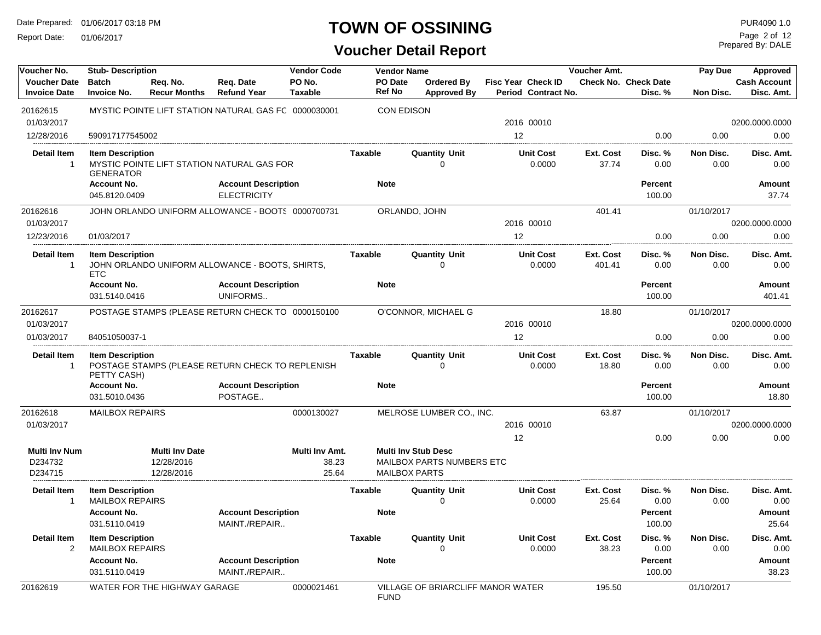Report Date: 01/06/2017

### **TOWN OF OSSINING** PURA090 1.0

## **Voucher Detail Report**

Prepared By: DALE Page 2 of 12

| Voucher No.                                | <b>Stub-Description</b>                           |                                                                             |                                                      | <b>Vendor Code</b>                      |                          | <b>Vendor Name</b> |                                                                                        |    |                                           | Voucher Amt.               |                                 | Pay Due           | Approved                          |
|--------------------------------------------|---------------------------------------------------|-----------------------------------------------------------------------------|------------------------------------------------------|-----------------------------------------|--------------------------|--------------------|----------------------------------------------------------------------------------------|----|-------------------------------------------|----------------------------|---------------------------------|-------------------|-----------------------------------|
| <b>Voucher Date</b><br><b>Invoice Date</b> | <b>Batch</b><br><b>Invoice No.</b>                | Req. No.<br><b>Recur Months</b>                                             | Req. Date<br><b>Refund Year</b>                      | PO No.<br><b>Taxable</b>                | PO Date<br><b>Ref No</b> |                    | Ordered By<br><b>Approved By</b>                                                       |    | Fisc Year Check ID<br>Period Contract No. |                            | Check No. Check Date<br>Disc. % | <b>Non Disc.</b>  | <b>Cash Account</b><br>Disc. Amt. |
| 20162615                                   |                                                   |                                                                             | MYSTIC POINTE LIFT STATION NATURAL GAS FC 0000030001 |                                         |                          | <b>CON EDISON</b>  |                                                                                        |    |                                           |                            |                                 |                   |                                   |
| 01/03/2017                                 |                                                   |                                                                             |                                                      |                                         |                          |                    |                                                                                        |    | 2016 00010                                |                            |                                 |                   | 0200.0000.0000                    |
| 12/28/2016                                 | 590917177545002                                   |                                                                             |                                                      |                                         |                          |                    |                                                                                        | 12 |                                           |                            | 0.00                            | 0.00              | 0.00                              |
| <b>Detail Item</b><br>-1                   | <b>Item Description</b><br><b>GENERATOR</b>       |                                                                             | MYSTIC POINTE LIFT STATION NATURAL GAS FOR           |                                         | Taxable                  |                    | <b>Quantity Unit</b><br>$\Omega$                                                       |    | <b>Unit Cost</b><br>0.0000                | Ext. Cost<br>37.74         | Disc. %<br>0.00                 | Non Disc.<br>0.00 | Disc. Amt.<br>0.00                |
|                                            | <b>Account No.</b><br>045.8120.0409               |                                                                             | <b>Account Description</b><br><b>ELECTRICITY</b>     |                                         | <b>Note</b>              |                    |                                                                                        |    |                                           |                            | <b>Percent</b><br>100.00        |                   | Amount<br>37.74                   |
| 20162616                                   |                                                   |                                                                             | JOHN ORLANDO UNIFORM ALLOWANCE - BOOTS 0000700731    |                                         |                          |                    | ORLANDO, JOHN                                                                          |    |                                           | 401.41                     |                                 | 01/10/2017        |                                   |
| 01/03/2017                                 |                                                   |                                                                             |                                                      |                                         |                          |                    |                                                                                        |    | 2016 00010                                |                            |                                 |                   | 0200.0000.0000                    |
| 12/23/2016                                 | 01/03/2017                                        |                                                                             |                                                      |                                         |                          |                    |                                                                                        | 12 |                                           |                            | 0.00                            | 0.00              | 0.00                              |
| <b>Detail Item</b><br>$\mathbf{1}$         | <b>Item Description</b><br><b>ETC</b>             |                                                                             | JOHN ORLANDO UNIFORM ALLOWANCE - BOOTS, SHIRTS,      |                                         | <b>Taxable</b>           |                    | <b>Quantity Unit</b><br>$\Omega$                                                       |    | <b>Unit Cost</b><br>0.0000                | <b>Ext. Cost</b><br>401.41 | Disc. %<br>0.00                 | Non Disc.<br>0.00 | Disc. Amt.<br>0.00                |
|                                            | <b>Account No.</b>                                |                                                                             | <b>Account Description</b>                           |                                         | <b>Note</b>              |                    |                                                                                        |    |                                           |                            | <b>Percent</b>                  |                   | Amount                            |
|                                            | 031.5140.0416                                     |                                                                             | UNIFORMS                                             |                                         |                          |                    |                                                                                        |    |                                           |                            | 100.00                          |                   | 401.41                            |
| 20162617                                   |                                                   |                                                                             | POSTAGE STAMPS (PLEASE RETURN CHECK TO 0000150100    |                                         |                          |                    | O'CONNOR, MICHAEL G                                                                    |    |                                           | 18.80                      |                                 | 01/10/2017        |                                   |
| 01/03/2017                                 |                                                   |                                                                             |                                                      |                                         |                          |                    |                                                                                        |    | 2016 00010                                |                            |                                 |                   | 0200.0000.0000                    |
| 01/03/2017                                 | 84051050037-1                                     |                                                                             |                                                      |                                         |                          |                    |                                                                                        | 12 |                                           |                            | 0.00                            | 0.00              | 0.00                              |
| <b>Detail Item</b><br>-1                   | PETTY CASH)                                       | <b>Item Description</b><br>POSTAGE STAMPS (PLEASE RETURN CHECK TO REPLENISH |                                                      |                                         | <b>Taxable</b>           |                    | <b>Quantity Unit</b><br>0                                                              |    | <b>Unit Cost</b><br>0.0000                | Ext. Cost<br>18.80         | Disc. %<br>0.00                 | Non Disc.<br>0.00 | Disc. Amt.<br>0.00                |
|                                            | <b>Account No.</b>                                |                                                                             | <b>Account Description</b>                           |                                         | <b>Note</b>              |                    |                                                                                        |    |                                           |                            | <b>Percent</b>                  |                   | Amount                            |
|                                            | 031.5010.0436                                     |                                                                             | POSTAGE                                              |                                         |                          |                    |                                                                                        |    |                                           |                            | 100.00                          |                   | 18.80                             |
| 20162618                                   | <b>MAILBOX REPAIRS</b>                            |                                                                             |                                                      | 0000130027                              |                          |                    | MELROSE LUMBER CO., INC.                                                               |    |                                           | 63.87                      |                                 | 01/10/2017        |                                   |
| 01/03/2017                                 |                                                   |                                                                             |                                                      |                                         |                          |                    |                                                                                        |    | 2016 00010                                |                            |                                 |                   | 0200.0000.0000                    |
|                                            |                                                   |                                                                             |                                                      |                                         |                          |                    |                                                                                        | 12 |                                           |                            | 0.00                            | 0.00              | 0.00                              |
| <b>Multi Inv Num</b><br>D234732<br>D234715 |                                                   | <b>Multi Inv Date</b><br>12/28/2016<br>12/28/2016                           |                                                      | <b>Multi Inv Amt.</b><br>38.23<br>25.64 |                          |                    | <b>Multi Inv Stub Desc</b><br><b>MAILBOX PARTS NUMBERS ETC</b><br><b>MAILBOX PARTS</b> |    |                                           |                            |                                 |                   |                                   |
|                                            |                                                   |                                                                             |                                                      |                                         |                          |                    |                                                                                        |    |                                           |                            |                                 |                   |                                   |
| Detail Item<br>-1                          | <b>Item Description</b><br><b>MAILBOX REPAIRS</b> |                                                                             |                                                      |                                         | <b>Taxable</b>           |                    | <b>Quantity Unit</b><br>$\Omega$                                                       |    | <b>Unit Cost</b><br>0.0000                | Ext. Cost<br>25.64         | Disc. %<br>0.00                 | Non Disc.<br>0.00 | Disc. Amt.<br>0.00                |
|                                            | <b>Account No.</b><br>031.5110.0419               |                                                                             | <b>Account Description</b><br>MAINT./REPAIR          |                                         | <b>Note</b>              |                    |                                                                                        |    |                                           |                            | Percent<br>100.00               |                   | Amount<br>25.64                   |
| <b>Detail Item</b><br>2                    | <b>Item Description</b><br><b>MAILBOX REPAIRS</b> |                                                                             |                                                      |                                         | <b>Taxable</b>           |                    | <b>Quantity Unit</b><br>$\Omega$                                                       |    | <b>Unit Cost</b><br>0.0000                | Ext. Cost<br>38.23         | Disc. %<br>0.00                 | Non Disc.<br>0.00 | Disc. Amt.<br>0.00                |
|                                            | <b>Account No.</b><br>031.5110.0419               |                                                                             | <b>Account Description</b><br>MAINT./REPAIR          |                                         | <b>Note</b>              |                    |                                                                                        |    |                                           |                            | <b>Percent</b><br>100.00        |                   | Amount<br>38.23                   |
| 20162619                                   |                                                   | WATER FOR THE HIGHWAY GARAGE                                                |                                                      | 0000021461                              | <b>FUND</b>              |                    | <b>VILLAGE OF BRIARCLIFF MANOR WATER</b>                                               |    |                                           | 195.50                     |                                 | 01/10/2017        |                                   |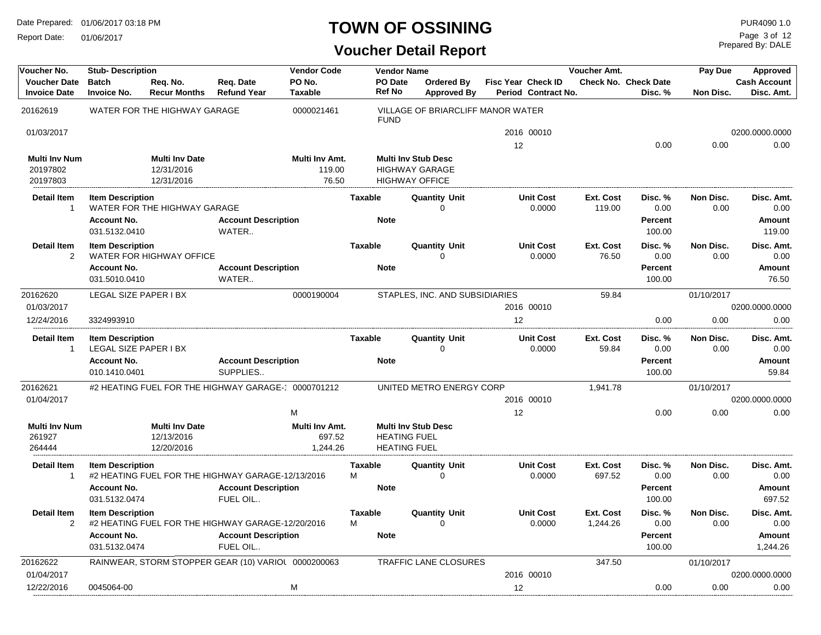Report Date: 01/06/2017

### **TOWN OF OSSINING**

## **Voucher Detail Report**

Prepared By: DALE Page 3 of 12

| Voucher No.                                | <b>Stub-Description</b>                          |                                                   |                                                     | <b>Vendor Code</b>                   |                     | <b>Vendor Name</b>                                                       |                                         | Voucher Amt.<br>Pay Due |                                           | Approved                  |                                        |                          |                                   |
|--------------------------------------------|--------------------------------------------------|---------------------------------------------------|-----------------------------------------------------|--------------------------------------|---------------------|--------------------------------------------------------------------------|-----------------------------------------|-------------------------|-------------------------------------------|---------------------------|----------------------------------------|--------------------------|-----------------------------------|
| <b>Voucher Date</b><br><b>Invoice Date</b> | <b>Batch</b><br><b>Invoice No.</b>               | Req. No.<br><b>Recur Months</b>                   | Req. Date<br><b>Refund Year</b>                     | PO No.<br>Taxable                    |                     | PO Date<br><b>Ref No</b>                                                 | <b>Ordered By</b><br><b>Approved By</b> |                         | Fisc Year Check ID<br>Period Contract No. |                           | <b>Check No. Check Date</b><br>Disc. % | Non Disc.                | <b>Cash Account</b><br>Disc. Amt. |
| 20162619                                   |                                                  | WATER FOR THE HIGHWAY GARAGE                      |                                                     | 0000021461                           |                     | <b>FUND</b>                                                              | VILLAGE OF BRIARCLIFF MANOR WATER       |                         |                                           |                           |                                        |                          |                                   |
| 01/03/2017                                 |                                                  |                                                   |                                                     |                                      |                     |                                                                          |                                         |                         | 2016 00010                                |                           |                                        |                          | 0200.0000.0000                    |
|                                            |                                                  |                                                   |                                                     |                                      |                     |                                                                          |                                         | 12                      |                                           |                           | 0.00                                   | 0.00                     | 0.00                              |
| <b>Multi Inv Num</b>                       |                                                  | <b>Multi Inv Date</b>                             |                                                     | Multi Inv Amt.                       |                     | <b>Multi Inv Stub Desc</b>                                               |                                         |                         |                                           |                           |                                        |                          |                                   |
| 20197802                                   |                                                  | 12/31/2016                                        |                                                     | 119.00                               |                     | <b>HIGHWAY GARAGE</b>                                                    |                                         |                         |                                           |                           |                                        |                          |                                   |
| 20197803                                   |                                                  | 12/31/2016                                        |                                                     | 76.50                                |                     | <b>HIGHWAY OFFICE</b>                                                    |                                         |                         |                                           |                           |                                        |                          |                                   |
| <b>Detail Item</b><br>$\mathbf{1}$         | <b>Item Description</b>                          | WATER FOR THE HIGHWAY GARAGE                      |                                                     |                                      | <b>Taxable</b>      |                                                                          | <b>Quantity Unit</b><br>$\Omega$        |                         | <b>Unit Cost</b><br>0.0000                | Ext. Cost<br>119.00       | Disc. %<br>0.00                        | Non Disc.<br>0.00        | Disc. Amt.<br>0.00                |
|                                            | <b>Account No.</b><br>031.5132.0410              |                                                   | <b>Account Description</b><br>WATER                 |                                      |                     | <b>Note</b>                                                              |                                         |                         |                                           |                           | Percent<br>100.00                      |                          | <b>Amount</b><br>119.00           |
| <b>Detail Item</b><br>2                    | <b>Item Description</b>                          | <b>WATER FOR HIGHWAY OFFICE</b>                   |                                                     |                                      | <b>Taxable</b>      |                                                                          | <b>Quantity Unit</b><br>$\Omega$        |                         | <b>Unit Cost</b><br>0.0000                | Ext. Cost<br>76.50        | Disc. %<br>0.00                        | <b>Non Disc.</b><br>0.00 | Disc. Amt.<br>0.00                |
|                                            | <b>Account No.</b>                               |                                                   | <b>Account Description</b>                          |                                      |                     | <b>Note</b>                                                              |                                         |                         |                                           |                           | Percent                                |                          | <b>Amount</b>                     |
|                                            | 031.5010.0410                                    |                                                   | WATER                                               |                                      |                     |                                                                          |                                         |                         |                                           |                           | 100.00                                 |                          | 76.50                             |
| 20162620                                   | LEGAL SIZE PAPER I BX                            |                                                   |                                                     | 0000190004                           |                     |                                                                          | STAPLES, INC. AND SUBSIDIARIES          |                         |                                           | 59.84                     |                                        | 01/10/2017               |                                   |
| 01/03/2017                                 |                                                  |                                                   |                                                     |                                      |                     |                                                                          |                                         |                         | 2016 00010                                |                           |                                        |                          | 0200.0000.0000                    |
| 12/24/2016                                 | 3324993910                                       |                                                   |                                                     |                                      |                     |                                                                          |                                         | 12                      |                                           |                           | 0.00                                   | 0.00                     | 0.00                              |
| <b>Detail Item</b><br>$\mathbf{1}$         | <b>Item Description</b><br>LEGAL SIZE PAPER I BX |                                                   |                                                     |                                      | <b>Taxable</b>      |                                                                          | <b>Quantity Unit</b><br>$\mathbf 0$     |                         | <b>Unit Cost</b><br>0.0000                | <b>Ext. Cost</b><br>59.84 | Disc. %<br>0.00                        | Non Disc.<br>0.00        | Disc. Amt.<br>0.00                |
|                                            | <b>Account No.</b><br>010.1410.0401              |                                                   | <b>Account Description</b><br>SUPPLIES              |                                      |                     | <b>Note</b>                                                              |                                         |                         |                                           |                           | Percent<br>100.00                      |                          | <b>Amount</b><br>59.84            |
| 20162621                                   |                                                  |                                                   | #2 HEATING FUEL FOR THE HIGHWAY GARAGE-1 0000701212 |                                      |                     |                                                                          | UNITED METRO ENERGY CORP                |                         |                                           | 1,941.78                  |                                        | 01/10/2017               |                                   |
| 01/04/2017                                 |                                                  |                                                   |                                                     |                                      |                     |                                                                          |                                         |                         | 2016 00010                                |                           |                                        |                          | 0200.0000.0000                    |
|                                            |                                                  |                                                   |                                                     | M                                    |                     |                                                                          |                                         | 12                      |                                           |                           | 0.00                                   | 0.00                     | 0.00                              |
| <b>Multi Inv Num</b><br>261927<br>264444   |                                                  | <b>Multi Inv Date</b><br>12/13/2016<br>12/20/2016 |                                                     | Multi Inv Amt.<br>697.52<br>1.244.26 |                     | <b>Multi Inv Stub Desc</b><br><b>HEATING FUEL</b><br><b>HEATING FUEL</b> |                                         |                         |                                           |                           |                                        |                          |                                   |
| <b>Detail Item</b><br>$\mathbf{1}$         | <b>Item Description</b>                          |                                                   | #2 HEATING FUEL FOR THE HIGHWAY GARAGE-12/13/2016   |                                      | <b>Taxable</b><br>М |                                                                          | <b>Quantity Unit</b><br>$\mathbf 0$     |                         | <b>Unit Cost</b><br>0.0000                | Ext. Cost<br>697.52       | Disc. %<br>0.00                        | Non Disc.<br>0.00        | Disc. Amt.<br>0.00                |
|                                            | <b>Account No.</b>                               |                                                   | <b>Account Description</b>                          |                                      |                     | <b>Note</b>                                                              |                                         |                         |                                           |                           | Percent                                |                          | <b>Amount</b>                     |
|                                            | 031.5132.0474                                    |                                                   | FUEL OIL                                            |                                      |                     |                                                                          |                                         |                         |                                           |                           | 100.00                                 |                          | 697.52                            |
| <b>Detail Item</b><br>$\overline{2}$       | <b>Item Description</b>                          |                                                   | #2 HEATING FUEL FOR THE HIGHWAY GARAGE-12/20/2016   |                                      | <b>Taxable</b><br>М |                                                                          | <b>Quantity Unit</b><br>$\Omega$        |                         | <b>Unit Cost</b><br>0.0000                | Ext. Cost<br>1,244.26     | Disc. %<br>0.00                        | Non Disc.<br>0.00        | Disc. Amt.<br>0.00                |
|                                            | <b>Account No.</b>                               |                                                   | <b>Account Description</b>                          |                                      |                     | <b>Note</b>                                                              |                                         |                         |                                           |                           | Percent                                |                          | <b>Amount</b>                     |
|                                            | 031.5132.0474                                    |                                                   | FUEL OIL                                            |                                      |                     |                                                                          |                                         |                         |                                           |                           | 100.00                                 |                          | 1,244.26                          |
| 20162622                                   |                                                  |                                                   | RAINWEAR, STORM STOPPER GEAR (10) VARIOL 0000200063 |                                      |                     |                                                                          | TRAFFIC LANE CLOSURES                   |                         |                                           | 347.50                    |                                        | 01/10/2017               |                                   |
| 01/04/2017                                 |                                                  |                                                   |                                                     |                                      |                     |                                                                          |                                         |                         | 2016 00010                                |                           |                                        |                          | 0200.0000.0000                    |
| 12/22/2016                                 | 0045064-00                                       |                                                   |                                                     | M                                    |                     |                                                                          |                                         | 12                      |                                           |                           | 0.00                                   | 0.00                     | 0.00                              |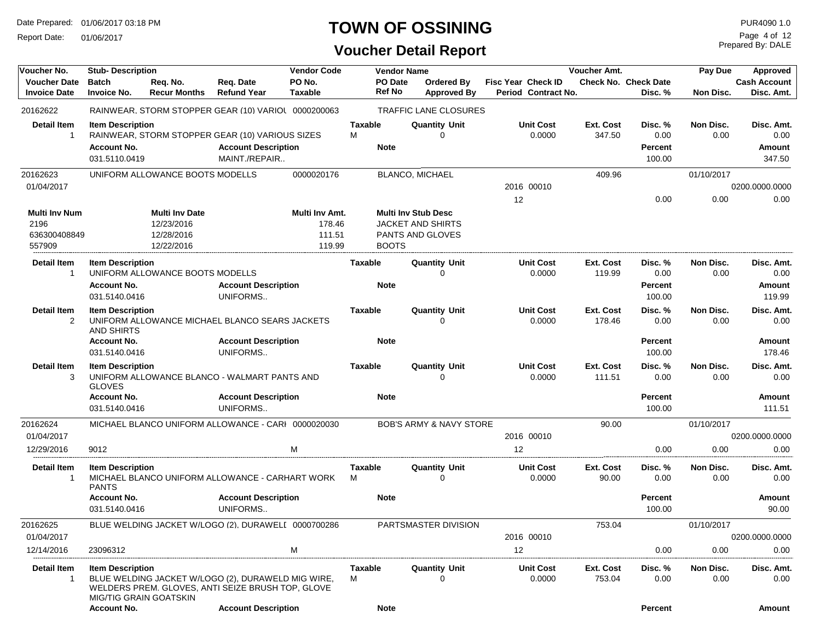Report Date: 01/06/2017

## **TOWN OF OSSINING**

## **Voucher Detail Report**

Prepared By: DALE Page 4 of 12

| Voucher No.                                            | <b>Stub-Description</b>                                            |                                                                 |                                                                                                         | <b>Vendor Code</b>                           |                     | <b>Vendor Name</b>       |                                                                            |                           |                            | Voucher Amt.               |                                             | Pay Due           | Approved                               |
|--------------------------------------------------------|--------------------------------------------------------------------|-----------------------------------------------------------------|---------------------------------------------------------------------------------------------------------|----------------------------------------------|---------------------|--------------------------|----------------------------------------------------------------------------|---------------------------|----------------------------|----------------------------|---------------------------------------------|-------------------|----------------------------------------|
| <b>Voucher Date</b><br><b>Invoice Date</b>             | <b>Batch</b><br><b>Invoice No.</b>                                 | Req. No.<br><b>Recur Months</b>                                 | Reg. Date<br><b>Refund Year</b>                                                                         | PO No.<br><b>Taxable</b>                     |                     | PO Date<br><b>Ref No</b> | Ordered By<br><b>Approved By</b>                                           | <b>Fisc Year Check ID</b> | Period Contract No.        |                            | <b>Check No. Check Date</b><br>Disc. %      | Non Disc.         | <b>Cash Account</b><br>Disc. Amt.      |
| 20162622                                               |                                                                    |                                                                 | RAINWEAR, STORM STOPPER GEAR (10) VARIOL 0000200063                                                     |                                              |                     |                          | <b>TRAFFIC LANE CLOSURES</b>                                               |                           |                            |                            |                                             |                   |                                        |
| <b>Detail Item</b><br>1                                | <b>Item Description</b><br><b>Account No.</b><br>031.5110.0419     |                                                                 | RAINWEAR, STORM STOPPER GEAR (10) VARIOUS SIZES<br><b>Account Description</b><br>MAINT./REPAIR          |                                              | <b>Taxable</b><br>М | <b>Note</b>              | <b>Quantity Unit</b><br>$\Omega$                                           |                           | <b>Unit Cost</b><br>0.0000 | <b>Ext. Cost</b><br>347.50 | Disc. %<br>0.00<br><b>Percent</b><br>100.00 | Non Disc.<br>0.00 | Disc. Amt.<br>0.00<br>Amount<br>347.50 |
| 20162623                                               |                                                                    | UNIFORM ALLOWANCE BOOTS MODELLS                                 |                                                                                                         | 0000020176                                   |                     |                          | <b>BLANCO, MICHAEL</b>                                                     |                           |                            | 409.96                     |                                             | 01/10/2017        |                                        |
| 01/04/2017                                             |                                                                    |                                                                 |                                                                                                         |                                              |                     |                          |                                                                            |                           | 2016 00010                 |                            |                                             |                   | 0200.0000.0000                         |
|                                                        |                                                                    |                                                                 |                                                                                                         |                                              |                     |                          |                                                                            | 12                        |                            |                            | 0.00                                        | 0.00              | 0.00                                   |
| <b>Multi Inv Num</b><br>2196<br>636300408849<br>557909 |                                                                    | <b>Multi Inv Date</b><br>12/23/2016<br>12/28/2016<br>12/22/2016 |                                                                                                         | Multi Inv Amt.<br>178.46<br>111.51<br>119.99 |                     | <b>BOOTS</b>             | <b>Multi Inv Stub Desc</b><br><b>JACKET AND SHIRTS</b><br>PANTS AND GLOVES |                           |                            |                            |                                             |                   |                                        |
| <b>Detail Item</b><br>1                                | <b>Item Description</b>                                            | UNIFORM ALLOWANCE BOOTS MODELLS                                 |                                                                                                         |                                              | Taxable             |                          | <b>Quantity Unit</b><br>$\Omega$                                           |                           | <b>Unit Cost</b><br>0.0000 | Ext. Cost<br>119.99        | Disc. %<br>0.00                             | Non Disc.<br>0.00 | Disc. Amt.<br>0.00                     |
|                                                        | <b>Account No.</b><br>031.5140.0416                                |                                                                 | <b>Account Description</b><br>UNIFORMS                                                                  |                                              |                     | <b>Note</b>              |                                                                            |                           |                            |                            | <b>Percent</b><br>100.00                    |                   | <b>Amount</b><br>119.99                |
| <b>Detail Item</b><br>2                                | <b>Item Description</b><br><b>AND SHIRTS</b><br><b>Account No.</b> |                                                                 | UNIFORM ALLOWANCE MICHAEL BLANCO SEARS JACKETS                                                          |                                              | Taxable             | <b>Note</b>              | <b>Quantity Unit</b><br>$\Omega$                                           |                           | <b>Unit Cost</b><br>0.0000 | Ext. Cost<br>178.46        | Disc. %<br>0.00                             | Non Disc.<br>0.00 | Disc. Amt.<br>0.00                     |
|                                                        | 031.5140.0416                                                      |                                                                 | <b>Account Description</b><br>UNIFORMS                                                                  |                                              |                     |                          |                                                                            |                           |                            |                            | <b>Percent</b><br>100.00                    |                   | <b>Amount</b><br>178.46                |
| <b>Detail Item</b><br>3                                | <b>Item Description</b><br><b>GLOVES</b>                           |                                                                 | UNIFORM ALLOWANCE BLANCO - WALMART PANTS AND                                                            |                                              | <b>Taxable</b>      |                          | <b>Quantity Unit</b><br>$\Omega$                                           |                           | <b>Unit Cost</b><br>0.0000 | Ext. Cost<br>111.51        | Disc. %<br>0.00                             | Non Disc.<br>0.00 | Disc. Amt.<br>0.00                     |
|                                                        | <b>Account No.</b><br>031.5140.0416                                |                                                                 | <b>Account Description</b><br>UNIFORMS                                                                  |                                              |                     | <b>Note</b>              |                                                                            |                           |                            |                            | <b>Percent</b><br>100.00                    |                   | Amount<br>111.51                       |
| 20162624                                               |                                                                    |                                                                 | MICHAEL BLANCO UNIFORM ALLOWANCE - CARI 0000020030                                                      |                                              |                     |                          | <b>BOB'S ARMY &amp; NAVY STORE</b>                                         |                           |                            | 90.00                      |                                             | 01/10/2017        |                                        |
| 01/04/2017                                             |                                                                    |                                                                 |                                                                                                         |                                              |                     |                          |                                                                            |                           | 2016 00010                 |                            |                                             |                   | 0200.0000.0000                         |
| 12/29/2016                                             | 9012                                                               |                                                                 |                                                                                                         | M                                            |                     |                          |                                                                            | 12                        |                            |                            | 0.00                                        | 0.00              | 0.00                                   |
| <b>Detail Item</b><br>$\mathbf{1}$                     | <b>Item Description</b><br><b>PANTS</b>                            |                                                                 | MICHAEL BLANCO UNIFORM ALLOWANCE - CARHART WORK                                                         |                                              | Taxable<br>м        |                          | <b>Quantity Unit</b><br>$\Omega$                                           |                           | <b>Unit Cost</b><br>0.0000 | Ext. Cost<br>90.00         | Disc. %<br>0.00                             | Non Disc.<br>0.00 | Disc. Amt.<br>0.00                     |
|                                                        | <b>Account No.</b><br>031.5140.0416                                |                                                                 | <b>Account Description</b><br>UNIFORMS                                                                  |                                              |                     | <b>Note</b>              |                                                                            |                           |                            |                            | <b>Percent</b><br>100.00                    |                   | Amount<br>90.00                        |
| 20162625<br>01/04/2017                                 |                                                                    |                                                                 | BLUE WELDING JACKET W/LOGO (2), DURAWELI 0000700286                                                     |                                              |                     |                          | PARTSMASTER DIVISION                                                       |                           | 2016 00010                 | 753.04                     |                                             | 01/10/2017        | 0200.0000.0000                         |
| 12/14/2016                                             | 23096312                                                           |                                                                 |                                                                                                         | М                                            |                     |                          |                                                                            | 12                        |                            |                            | 0.00                                        | 0.00              | 0.00                                   |
|                                                        |                                                                    |                                                                 |                                                                                                         |                                              |                     |                          |                                                                            |                           |                            |                            |                                             |                   |                                        |
| <b>Detail Item</b><br>1                                | <b>Item Description</b><br><b>MIG/TIG GRAIN GOATSKIN</b>           |                                                                 | BLUE WELDING JACKET W/LOGO (2), DURAWELD MIG WIRE,<br>WELDERS PREM. GLOVES, ANTI SEIZE BRUSH TOP, GLOVE |                                              | Taxable<br>М        |                          | <b>Quantity Unit</b><br>$\Omega$                                           |                           | <b>Unit Cost</b><br>0.0000 | Ext. Cost<br>753.04        | Disc. %<br>0.00                             | Non Disc.<br>0.00 | Disc. Amt.<br>0.00                     |
|                                                        | <b>Account No.</b>                                                 |                                                                 | <b>Account Description</b>                                                                              |                                              |                     | <b>Note</b>              |                                                                            |                           |                            |                            | Percent                                     |                   | Amount                                 |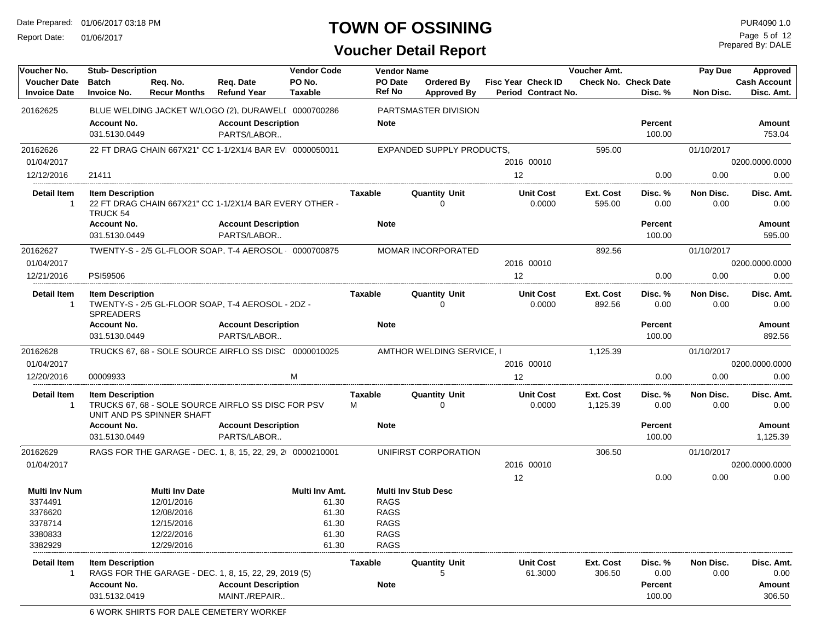Report Date: 01/06/2017

#### **TOWN OF OSSINING PUR4090 1.0**

Prepared By: DALE Page 5 of 12

#### **Voucher Detail Report**

| Voucher No.                                | <b>Stub-Description</b>                     |                                 |                                                            | <b>Vendor Code</b>       |                          | <b>Vendor Name</b>                      |                                                  | Voucher Amt.          |                                 | Pay Due           | Approved                          |
|--------------------------------------------|---------------------------------------------|---------------------------------|------------------------------------------------------------|--------------------------|--------------------------|-----------------------------------------|--------------------------------------------------|-----------------------|---------------------------------|-------------------|-----------------------------------|
| <b>Voucher Date</b><br><b>Invoice Date</b> | <b>Batch</b><br><b>Invoice No.</b>          | Req. No.<br><b>Recur Months</b> | Req. Date<br><b>Refund Year</b>                            | PO No.<br><b>Taxable</b> | PO Date<br><b>Ref No</b> | <b>Ordered By</b><br><b>Approved By</b> | <b>Fisc Year Check ID</b><br>Period Contract No. |                       | Check No. Check Date<br>Disc. % | <b>Non Disc.</b>  | <b>Cash Account</b><br>Disc. Amt. |
| 20162625                                   |                                             |                                 | BLUE WELDING JACKET W/LOGO (2), DURAWELI 0000700286        |                          |                          | PARTSMASTER DIVISION                    |                                                  |                       |                                 |                   |                                   |
|                                            | Account No.<br>031.5130.0449                |                                 | <b>Account Description</b><br>PARTS/LABOR                  |                          | <b>Note</b>              |                                         |                                                  |                       | <b>Percent</b><br>100.00        |                   | Amount<br>753.04                  |
| 20162626                                   |                                             |                                 | 22 FT DRAG CHAIN 667X21" CC 1-1/2X1/4 BAR EVI 0000050011   |                          |                          | EXPANDED SUPPLY PRODUCTS.               |                                                  | 595.00                |                                 | 01/10/2017        |                                   |
| 01/04/2017                                 |                                             |                                 |                                                            |                          |                          |                                         | 2016 00010                                       |                       |                                 |                   | 0200.0000.0000                    |
| 12/12/2016                                 | 21411                                       |                                 |                                                            |                          |                          |                                         | 12                                               |                       | 0.00                            | 0.00              | 0.00                              |
| <b>Detail Item</b><br>$\mathbf{1}$         | <b>Item Description</b><br><b>TRUCK 54</b>  |                                 | 22 FT DRAG CHAIN 667X21" CC 1-1/2X1/4 BAR EVERY OTHER -    |                          | <b>Taxable</b>           | <b>Quantity Unit</b><br>U               | <b>Unit Cost</b><br>0.0000                       | Ext. Cost<br>595.00   | Disc. %<br>0.00                 | Non Disc.<br>0.00 | Disc. Amt.<br>0.00                |
|                                            | <b>Account No.</b><br>031.5130.0449         |                                 | <b>Account Description</b><br>PARTS/LABOR                  |                          | <b>Note</b>              |                                         |                                                  |                       | <b>Percent</b><br>100.00        |                   | Amount<br>595.00                  |
| 20162627                                   |                                             |                                 | TWENTY-S - 2/5 GL-FLOOR SOAP, T-4 AEROSOL  0000700875      |                          |                          | MOMAR INCORPORATED                      |                                                  | 892.56                |                                 | 01/10/2017        |                                   |
| 01/04/2017                                 |                                             |                                 |                                                            |                          |                          |                                         | 2016 00010                                       |                       |                                 |                   | 0200.0000.0000                    |
| 12/21/2016                                 | PSI59506                                    |                                 |                                                            |                          |                          |                                         | 12                                               |                       | 0.00                            | 0.00              | 0.00                              |
| <b>Detail Item</b><br>$\mathbf{1}$         | <b>Item Description</b><br><b>SPREADERS</b> |                                 | TWENTY-S - 2/5 GL-FLOOR SOAP, T-4 AEROSOL - 2DZ -          |                          | <b>Taxable</b>           | <b>Quantity Unit</b><br>0               | <b>Unit Cost</b><br>0.0000                       | Ext. Cost<br>892.56   | Disc. %<br>0.00                 | Non Disc.<br>0.00 | Disc. Amt.<br>0.00                |
|                                            | <b>Account No.</b><br>031.5130.0449         |                                 | <b>Account Description</b><br>PARTS/LABOR                  |                          | <b>Note</b>              |                                         |                                                  |                       | <b>Percent</b><br>100.00        |                   | Amount<br>892.56                  |
| 20162628                                   |                                             |                                 | TRUCKS 67, 68 - SOLE SOURCE AIRFLO SS DISC 0000010025      |                          |                          | AMTHOR WELDING SERVICE, I               |                                                  | 1,125.39              |                                 | 01/10/2017        |                                   |
| 01/04/2017                                 |                                             |                                 |                                                            |                          |                          |                                         | 2016 00010                                       |                       |                                 |                   | 0200.0000.0000                    |
| 12/20/2016                                 | 00009933                                    |                                 |                                                            | M                        |                          |                                         | 12                                               |                       | 0.00                            | 0.00              | 0.00                              |
| <b>Detail Item</b><br>$\mathbf{1}$         | <b>Item Description</b>                     | UNIT AND PS SPINNER SHAFT       | TRUCKS 67, 68 - SOLE SOURCE AIRFLO SS DISC FOR PSV         |                          | <b>Taxable</b><br>M      | <b>Quantity Unit</b><br>0               | <b>Unit Cost</b><br>0.0000                       | Ext. Cost<br>1,125.39 | Disc. %<br>0.00                 | Non Disc.<br>0.00 | Disc. Amt.<br>0.00                |
|                                            | <b>Account No.</b><br>031.5130.0449         |                                 | <b>Account Description</b><br>PARTS/LABOR                  |                          | <b>Note</b>              |                                         |                                                  |                       | <b>Percent</b><br>100.00        |                   | Amount<br>1,125.39                |
| 20162629                                   |                                             |                                 | RAGS FOR THE GARAGE - DEC. 1, 8, 15, 22, 29, 2  0000210001 |                          |                          | UNIFIRST CORPORATION                    |                                                  | 306.50                |                                 | 01/10/2017        |                                   |
| 01/04/2017                                 |                                             |                                 |                                                            |                          |                          |                                         | 2016 00010                                       |                       |                                 |                   | 0200.0000.0000                    |
|                                            |                                             |                                 |                                                            |                          |                          |                                         | 12                                               |                       | 0.00                            | 0.00              | 0.00                              |
| <b>Multi Inv Num</b>                       |                                             | <b>Multi Inv Date</b>           |                                                            | Multi Inv Amt.           |                          | <b>Multi Inv Stub Desc</b>              |                                                  |                       |                                 |                   |                                   |
| 3374491                                    |                                             | 12/01/2016                      |                                                            | 61.30                    | <b>RAGS</b>              |                                         |                                                  |                       |                                 |                   |                                   |
| 3376620                                    |                                             | 12/08/2016                      |                                                            | 61.30                    | <b>RAGS</b>              |                                         |                                                  |                       |                                 |                   |                                   |
| 3378714                                    |                                             | 12/15/2016                      |                                                            | 61.30                    | <b>RAGS</b>              |                                         |                                                  |                       |                                 |                   |                                   |
| 3380833                                    |                                             | 12/22/2016                      |                                                            | 61.30                    | <b>RAGS</b>              |                                         |                                                  |                       |                                 |                   |                                   |
| 3382929                                    |                                             | 12/29/2016                      |                                                            | 61.30                    | <b>RAGS</b>              |                                         |                                                  |                       |                                 |                   |                                   |
| Detail Item<br>$\mathbf{1}$                | <b>Item Description</b>                     |                                 | RAGS FOR THE GARAGE - DEC. 1, 8, 15, 22, 29, 2019 (5)      |                          | <b>Taxable</b>           | <b>Quantity Unit</b><br>5               | <b>Unit Cost</b><br>61.3000                      | Ext. Cost<br>306.50   | Disc. %<br>0.00                 | Non Disc.<br>0.00 | Disc. Amt.<br>0.00                |
|                                            | Account No.<br>031.5132.0419                |                                 | <b>Account Description</b><br>MAINT./REPAIR                |                          | <b>Note</b>              |                                         |                                                  |                       | <b>Percent</b><br>100.00        |                   | Amount<br>306.50                  |

6 WORK SHIRTS FOR DALE CEMETERY WORKER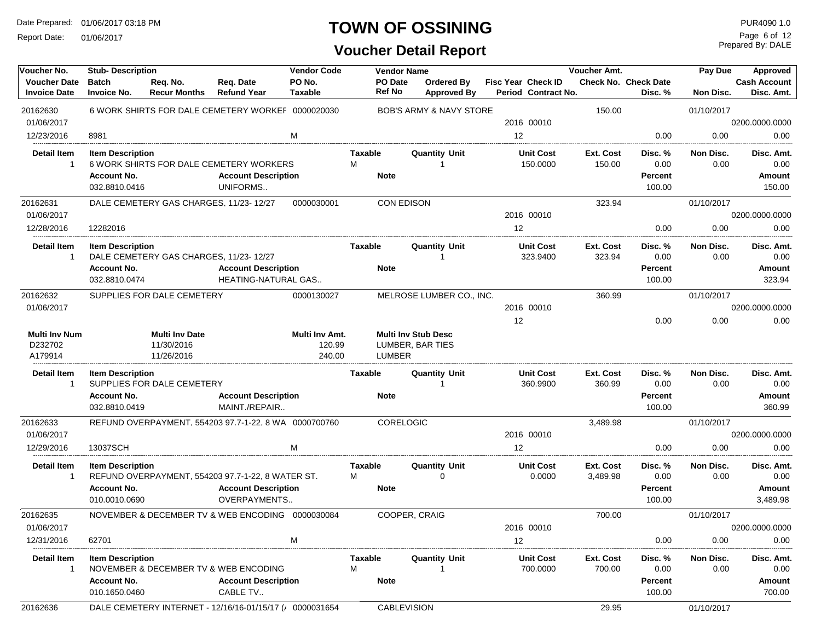Report Date: 01/06/2017

### **TOWN OF OSSINING** PURA090 1.0

## **Voucher Detail Report**

Prepared By: DALE Page 6 of 12

| Voucher No.                                | <b>Stub-Description</b>                                        |                                                   |                                                                                                 | <b>Vendor Code</b>                 |                     | <b>Vendor Name</b>       |                                                |                                                  | Voucher Amt.          |                                             | Pay Due           | Approved                                 |
|--------------------------------------------|----------------------------------------------------------------|---------------------------------------------------|-------------------------------------------------------------------------------------------------|------------------------------------|---------------------|--------------------------|------------------------------------------------|--------------------------------------------------|-----------------------|---------------------------------------------|-------------------|------------------------------------------|
| <b>Voucher Date</b><br><b>Invoice Date</b> | <b>Batch</b><br><b>Invoice No.</b>                             | Req. No.<br><b>Recur Months</b>                   | Req. Date<br><b>Refund Year</b>                                                                 | PO No.<br>Taxable                  |                     | PO Date<br><b>Ref No</b> | Ordered By<br><b>Approved By</b>               | <b>Fisc Year Check ID</b><br>Period Contract No. |                       | <b>Check No. Check Date</b><br>Disc. %      | Non Disc.         | <b>Cash Account</b><br>Disc. Amt.        |
| 20162630                                   |                                                                |                                                   | 6 WORK SHIRTS FOR DALE CEMETERY WORKEF 0000020030                                               |                                    |                     |                          | <b>BOB'S ARMY &amp; NAVY STORE</b>             |                                                  | 150.00                |                                             | 01/10/2017        |                                          |
| 01/06/2017                                 |                                                                |                                                   |                                                                                                 |                                    |                     |                          |                                                | 2016 00010                                       |                       |                                             |                   | 0200.0000.0000                           |
| 12/23/2016                                 | 8981                                                           |                                                   |                                                                                                 | M                                  |                     |                          |                                                | 12                                               |                       | 0.00                                        | 0.00              | 0.00                                     |
| <b>Detail Item</b><br>$\mathbf 1$          | <b>Item Description</b><br><b>Account No.</b><br>032.8810.0416 |                                                   | 6 WORK SHIRTS FOR DALE CEMETERY WORKERS<br><b>Account Description</b><br>UNIFORMS               |                                    | <b>Taxable</b><br>м | <b>Note</b>              | <b>Quantity Unit</b>                           | <b>Unit Cost</b><br>150.0000                     | Ext. Cost<br>150.00   | Disc. %<br>0.00<br><b>Percent</b><br>100.00 | Non Disc.<br>0.00 | Disc. Amt.<br>0.00<br>Amount<br>150.00   |
| 20162631                                   |                                                                | DALE CEMETERY GAS CHARGES, 11/23-12/27            |                                                                                                 | 0000030001                         |                     | CON EDISON               |                                                |                                                  | 323.94                |                                             | 01/10/2017        |                                          |
| 01/06/2017                                 |                                                                |                                                   |                                                                                                 |                                    |                     |                          |                                                | 2016 00010                                       |                       |                                             |                   | 0200.0000.0000                           |
| 12/28/2016                                 | 12282016                                                       |                                                   |                                                                                                 |                                    |                     |                          |                                                | 12                                               |                       | 0.00                                        | 0.00              | 0.00                                     |
| <b>Detail Item</b><br>$\mathbf{1}$         | <b>Item Description</b><br><b>Account No.</b>                  | DALE CEMETERY GAS CHARGES, 11/23-12/27            | <b>Account Description</b>                                                                      |                                    | Taxable             | <b>Note</b>              | <b>Quantity Unit</b>                           | <b>Unit Cost</b><br>323.9400                     | Ext. Cost<br>323.94   | Disc. %<br>0.00<br><b>Percent</b>           | Non Disc.<br>0.00 | Disc. Amt.<br>0.00<br><b>Amount</b>      |
|                                            | 032.8810.0474                                                  |                                                   | HEATING-NATURAL GAS                                                                             |                                    |                     |                          |                                                |                                                  |                       | 100.00                                      |                   | 323.94                                   |
| 20162632                                   |                                                                | SUPPLIES FOR DALE CEMETERY                        |                                                                                                 | 0000130027                         |                     |                          | MELROSE LUMBER CO., INC.                       |                                                  | 360.99                |                                             | 01/10/2017        |                                          |
| 01/06/2017                                 |                                                                |                                                   |                                                                                                 |                                    |                     |                          |                                                | 2016 00010                                       |                       |                                             |                   | 0200.0000.0000                           |
|                                            |                                                                |                                                   |                                                                                                 |                                    |                     |                          |                                                | 12                                               |                       | 0.00                                        | 0.00              | 0.00                                     |
| <b>Multi Inv Num</b><br>D232702<br>A179914 |                                                                | <b>Multi Inv Date</b><br>11/30/2016<br>11/26/2016 |                                                                                                 | Multi Inv Amt.<br>120.99<br>240.00 |                     | LUMBER                   | <b>Multi Inv Stub Desc</b><br>LUMBER, BAR TIES |                                                  |                       |                                             |                   |                                          |
| Detail Item<br>$\mathbf{1}$                | <b>Item Description</b><br><b>Account No.</b>                  | SUPPLIES FOR DALE CEMETERY                        | <b>Account Description</b>                                                                      |                                    | Taxable             | <b>Note</b>              | <b>Quantity Unit</b>                           | <b>Unit Cost</b><br>360.9900                     | Ext. Cost<br>360.99   | Disc. %<br>0.00<br><b>Percent</b>           | Non Disc.<br>0.00 | Disc. Amt.<br>0.00<br>Amount             |
|                                            | 032.8810.0419                                                  |                                                   | MAINT./REPAIR                                                                                   |                                    |                     |                          |                                                |                                                  |                       | 100.00                                      |                   | 360.99                                   |
| 20162633                                   |                                                                |                                                   | REFUND OVERPAYMENT, 554203 97.7-1-22, 8 WA 0000700760                                           |                                    |                     | CORELOGIC                |                                                |                                                  | 3,489.98              |                                             | 01/10/2017        |                                          |
| 01/06/2017                                 |                                                                |                                                   |                                                                                                 |                                    |                     |                          |                                                | 2016 00010                                       |                       |                                             |                   | 0200.0000.0000                           |
| 12/29/2016                                 | 13037SCH                                                       |                                                   |                                                                                                 | M                                  |                     |                          |                                                | 12                                               |                       | 0.00                                        | 0.00              | 0.00                                     |
| Detail Item<br>-1                          | <b>Item Description</b><br><b>Account No.</b><br>010.0010.0690 |                                                   | REFUND OVERPAYMENT, 554203 97.7-1-22, 8 WATER ST.<br><b>Account Description</b><br>OVERPAYMENTS |                                    | Taxable<br>м        | <b>Note</b>              | <b>Quantity Unit</b><br>$\Omega$               | <b>Unit Cost</b><br>0.0000                       | Ext. Cost<br>3,489.98 | Disc. %<br>0.00<br>Percent<br>100.00        | Non Disc.<br>0.00 | Disc. Amt.<br>0.00<br>Amount<br>3,489.98 |
| 20162635                                   |                                                                |                                                   | NOVEMBER & DECEMBER TV & WEB ENCODING 0000030084                                                |                                    |                     |                          | COOPER, CRAIG                                  |                                                  | 700.00                |                                             | 01/10/2017        |                                          |
| 01/06/2017                                 |                                                                |                                                   |                                                                                                 |                                    |                     |                          |                                                | 2016 00010                                       |                       |                                             |                   | 0200.0000.0000                           |
| 12/31/2016                                 | 62701                                                          |                                                   |                                                                                                 | м                                  |                     |                          |                                                | 12                                               |                       | 0.00                                        | 0.00              | 0.00                                     |
| <b>Detail Item</b><br>$\mathbf 1$          | <b>Item Description</b>                                        |                                                   | NOVEMBER & DECEMBER TV & WEB ENCODING                                                           |                                    | Taxable<br>M        |                          | <b>Quantity Unit</b>                           | <b>Unit Cost</b><br>700.0000                     | Ext. Cost<br>700.00   | Disc. %<br>0.00                             | Non Disc.<br>0.00 | Disc. Amt.<br>0.00                       |
|                                            | <b>Account No.</b><br>010.1650.0460                            |                                                   | <b>Account Description</b><br>CABLE TV                                                          |                                    |                     | Note                     |                                                |                                                  |                       | <b>Percent</b><br>100.00                    |                   | Amount<br>700.00                         |
| 20162636                                   |                                                                |                                                   | DALE CEMETERY INTERNET - 12/16/16-01/15/17 (/ 0000031654                                        |                                    |                     | <b>CABLEVISION</b>       |                                                |                                                  | 29.95                 |                                             | 01/10/2017        |                                          |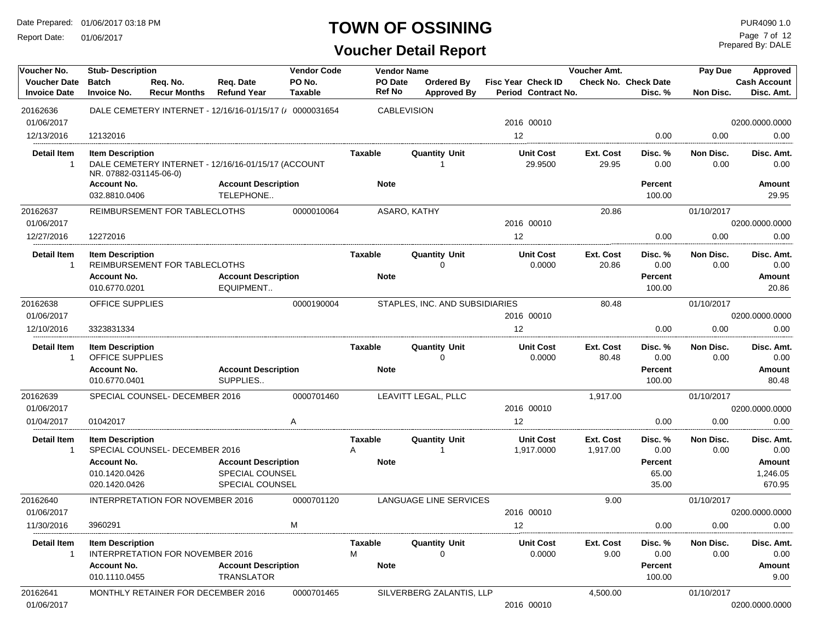Report Date: 01/06/2017

### **TOWN OF OSSINING** PURA090 1.0

## **Voucher Detail Report**

Prepared By: DALE Page 7 of 12

| Voucher No.                                | <b>Stub-Description</b>                              |                                    |                                                                         | <b>Vendor Code</b>       |                               | <b>Vendor Name</b>                      |                                                  | Voucher Amt.          |                                        | Pay Due           | Approved                            |
|--------------------------------------------|------------------------------------------------------|------------------------------------|-------------------------------------------------------------------------|--------------------------|-------------------------------|-----------------------------------------|--------------------------------------------------|-----------------------|----------------------------------------|-------------------|-------------------------------------|
| <b>Voucher Date</b><br><b>Invoice Date</b> | <b>Batch</b><br><b>Invoice No.</b>                   | Req. No.<br><b>Recur Months</b>    | Req. Date<br><b>Refund Year</b>                                         | PO No.<br><b>Taxable</b> | PO Date<br><b>Ref No</b>      | <b>Ordered By</b><br><b>Approved By</b> | <b>Fisc Year Check ID</b><br>Period Contract No. |                       | <b>Check No. Check Date</b><br>Disc. % | Non Disc.         | <b>Cash Account</b><br>Disc. Amt.   |
| 20162636                                   |                                                      |                                    | DALE CEMETERY INTERNET - 12/16/16-01/15/17 (/ 0000031654                |                          |                               | <b>CABLEVISION</b>                      |                                                  |                       |                                        |                   |                                     |
| 01/06/2017                                 |                                                      |                                    |                                                                         |                          |                               |                                         | 2016 00010                                       |                       |                                        |                   | 0200.0000.0000                      |
| 12/13/2016                                 | 12132016                                             |                                    |                                                                         |                          |                               |                                         | $12 \overline{ }$                                |                       | 0.00                                   | 0.00              | 0.00                                |
| <b>Detail Item</b>                         | <b>Item Description</b><br>NR. 07882-031145-06-0)    |                                    | DALE CEMETERY INTERNET - 12/16/16-01/15/17 (ACCOUNT                     |                          | Taxable                       | <b>Quantity Unit</b>                    | <b>Unit Cost</b><br>29.9500                      | Ext. Cost<br>29.95    | Disc. %<br>0.00                        | Non Disc.<br>0.00 | Disc. Amt.<br>0.00                  |
|                                            | <b>Account No.</b>                                   |                                    | <b>Account Description</b>                                              |                          | <b>Note</b>                   |                                         |                                                  |                       | <b>Percent</b>                         |                   | <b>Amount</b>                       |
|                                            | 032.8810.0406                                        |                                    | TELEPHONE                                                               |                          |                               |                                         |                                                  |                       | 100.00                                 |                   | 29.95                               |
| 20162637                                   |                                                      | REIMBURSEMENT FOR TABLECLOTHS      |                                                                         | 0000010064               |                               | ASARO, KATHY                            |                                                  | 20.86                 |                                        | 01/10/2017        |                                     |
| 01/06/2017                                 |                                                      |                                    |                                                                         |                          |                               |                                         | 2016 00010                                       |                       |                                        |                   | 0200.0000.0000                      |
| 12/27/2016                                 | 12272016                                             |                                    |                                                                         |                          |                               |                                         | 12                                               |                       | 0.00                                   | 0.00              | 0.00                                |
| Detail Item<br>-1                          | <b>Item Description</b><br><b>Account No.</b>        | REIMBURSEMENT FOR TABLECLOTHS      | <b>Account Description</b>                                              |                          | <b>Taxable</b><br><b>Note</b> | <b>Quantity Unit</b><br>$\Omega$        | <b>Unit Cost</b><br>0.0000                       | Ext. Cost<br>20.86    | Disc. %<br>0.00<br><b>Percent</b>      | Non Disc.<br>0.00 | Disc. Amt.<br>0.00<br>Amount        |
|                                            | 010.6770.0201                                        |                                    | EQUIPMENT                                                               |                          |                               |                                         |                                                  |                       | 100.00                                 |                   | 20.86                               |
| 20162638                                   | <b>OFFICE SUPPLIES</b>                               |                                    |                                                                         | 0000190004               |                               | STAPLES, INC. AND SUBSIDIARIES          |                                                  | 80.48                 |                                        | 01/10/2017        |                                     |
| 01/06/2017                                 |                                                      |                                    |                                                                         |                          |                               |                                         | 2016 00010                                       |                       |                                        |                   | 0200.0000.0000                      |
| 12/10/2016                                 | 3323831334                                           |                                    |                                                                         |                          |                               |                                         | 12                                               |                       | 0.00                                   | 0.00              | 0.00                                |
| <b>Detail Item</b><br>-1                   | <b>Item Description</b><br>OFFICE SUPPLIES           |                                    |                                                                         |                          | Taxable                       | <b>Quantity Unit</b><br>$\Omega$        | <b>Unit Cost</b><br>0.0000                       | Ext. Cost<br>80.48    | Disc. %<br>0.00                        | Non Disc.<br>0.00 | Disc. Amt.<br>0.00                  |
|                                            | <b>Account No.</b><br>010.6770.0401                  |                                    | <b>Account Description</b><br>SUPPLIES                                  |                          | <b>Note</b>                   |                                         |                                                  |                       | <b>Percent</b><br>100.00               |                   | <b>Amount</b><br>80.48              |
| 20162639                                   |                                                      | SPECIAL COUNSEL- DECEMBER 2016     |                                                                         | 0000701460               |                               | LEAVITT LEGAL, PLLC                     |                                                  | 1,917.00              |                                        | 01/10/2017        |                                     |
| 01/06/2017                                 |                                                      |                                    |                                                                         |                          |                               |                                         | 2016 00010                                       |                       |                                        |                   | 0200.0000.0000                      |
| 01/04/2017                                 | 01042017                                             |                                    |                                                                         | A                        |                               |                                         | 12                                               |                       | 0.00                                   | 0.00              | 0.00                                |
| <b>Detail Item</b><br>1                    | <b>Item Description</b>                              | SPECIAL COUNSEL- DECEMBER 2016     |                                                                         |                          | <b>Taxable</b><br>Α           | <b>Quantity Unit</b><br>1               | <b>Unit Cost</b><br>1,917.0000                   | Ext. Cost<br>1,917.00 | Disc. %<br>0.00                        | Non Disc.<br>0.00 | Disc. Amt.<br>0.00                  |
|                                            | <b>Account No.</b><br>010.1420.0426<br>020.1420.0426 |                                    | <b>Account Description</b><br><b>SPECIAL COUNSEL</b><br>SPECIAL COUNSEL |                          | <b>Note</b>                   |                                         |                                                  |                       | <b>Percent</b><br>65.00<br>35.00       |                   | <b>Amount</b><br>1,246.05<br>670.95 |
| 20162640                                   |                                                      | INTERPRETATION FOR NOVEMBER 2016   |                                                                         | 0000701120               |                               | LANGUAGE LINE SERVICES                  |                                                  | 9.00                  |                                        | 01/10/2017        |                                     |
| 01/06/2017                                 |                                                      |                                    |                                                                         |                          |                               |                                         | 2016 00010                                       |                       |                                        |                   | 0200.0000.0000                      |
| 11/30/2016                                 | 3960291                                              |                                    |                                                                         | М                        |                               |                                         | 12                                               |                       | 0.00                                   | 0.00              | 0.00                                |
| Detail Item<br>1                           | <b>Item Description</b>                              | INTERPRETATION FOR NOVEMBER 2016   |                                                                         |                          | <b>Taxable</b><br>M           | <b>Quantity Unit</b><br>$\Omega$        | <b>Unit Cost</b><br>0.0000                       | Ext. Cost<br>9.00     | Disc. %<br>0.00                        | Non Disc.<br>0.00 | Disc. Amt.<br>0.00                  |
|                                            | <b>Account No.</b><br>010.1110.0455                  |                                    | <b>Account Description</b><br>TRANSLATOR                                |                          | <b>Note</b>                   |                                         |                                                  |                       | Percent<br>100.00                      |                   | Amount<br>9.00                      |
| 20162641<br>01/06/2017                     |                                                      | MONTHLY RETAINER FOR DECEMBER 2016 |                                                                         | 0000701465               |                               | SILVERBERG ZALANTIS, LLP                | 2016 00010                                       | 4,500.00              |                                        | 01/10/2017        | 0200.0000.0000                      |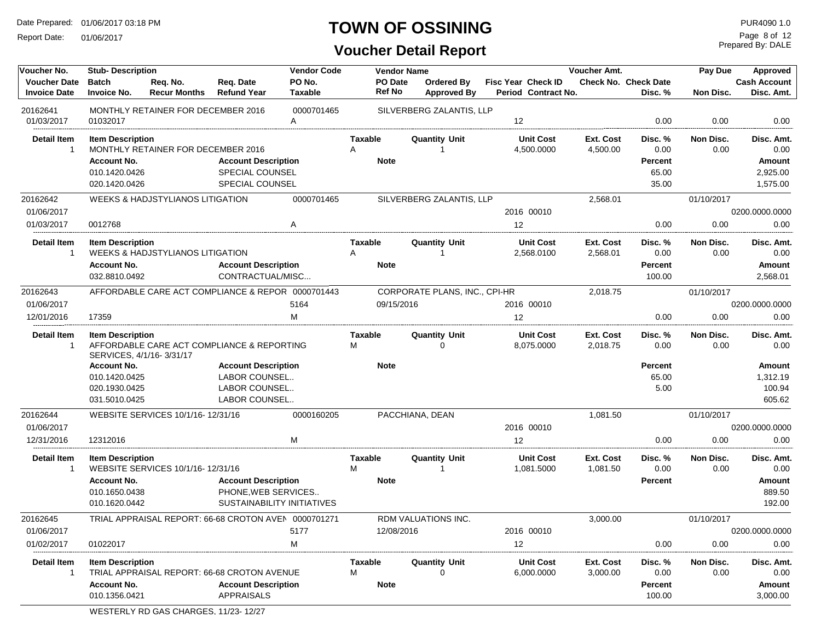Report Date: 01/06/2017

### **TOWN OF OSSINING**

#### **Voucher Detail Report**

Prepared By: DALE Page 8 of 12

| Voucher No.                                | <b>Stub-Description</b>                             |                                             |                                                      | <b>Vendor Code</b>       |                     | <b>Vendor Name</b>       |                                         |                                           | <b>Voucher Amt.</b>          |                                        | Pay Due           | Approved                          |
|--------------------------------------------|-----------------------------------------------------|---------------------------------------------|------------------------------------------------------|--------------------------|---------------------|--------------------------|-----------------------------------------|-------------------------------------------|------------------------------|----------------------------------------|-------------------|-----------------------------------|
| <b>Voucher Date</b><br><b>Invoice Date</b> | <b>Batch</b><br><b>Invoice No.</b>                  | Req. No.<br><b>Recur Months</b>             | Req. Date<br><b>Refund Year</b>                      | PO No.<br><b>Taxable</b> |                     | PO Date<br><b>Ref No</b> | <b>Ordered By</b><br><b>Approved By</b> | Fisc Year Check ID<br>Period Contract No. |                              | <b>Check No. Check Date</b><br>Disc. % | Non Disc.         | <b>Cash Account</b><br>Disc. Amt. |
| 20162641<br>01/03/2017                     | 01032017                                            | MONTHLY RETAINER FOR DECEMBER 2016          |                                                      | 0000701465<br>A          |                     |                          | SILVERBERG ZALANTIS, LLP                | 12                                        |                              | 0.00                                   | 0.00              | 0.00                              |
| <b>Detail Item</b>                         | <b>Item Description</b>                             |                                             |                                                      |                          | Taxable             |                          | <b>Quantity Unit</b>                    | <b>Unit Cost</b>                          | <b>Ext. Cost</b>             | Disc. %                                | Non Disc.         | Disc. Amt.                        |
| $\overline{1}$                             |                                                     | MONTHLY RETAINER FOR DECEMBER 2016          |                                                      |                          | Α                   |                          | $\mathbf{1}$                            | 4,500.0000                                | 4,500.00                     | 0.00                                   | 0.00              | 0.00                              |
|                                            | <b>Account No.</b>                                  |                                             | <b>Account Description</b>                           |                          |                     | <b>Note</b>              |                                         |                                           |                              | <b>Percent</b>                         |                   | Amount                            |
|                                            | 010.1420.0426                                       |                                             | SPECIAL COUNSEL                                      |                          |                     |                          |                                         |                                           |                              | 65.00                                  |                   | 2,925.00                          |
|                                            | 020.1420.0426                                       |                                             | <b>SPECIAL COUNSEL</b>                               |                          |                     |                          |                                         |                                           |                              | 35.00                                  |                   | 1,575.00                          |
| 20162642                                   |                                                     | <b>WEEKS &amp; HADJSTYLIANOS LITIGATION</b> |                                                      | 0000701465               |                     |                          | SILVERBERG ZALANTIS, LLP                |                                           | 2,568.01                     |                                        | 01/10/2017        |                                   |
| 01/06/2017                                 |                                                     |                                             |                                                      |                          |                     |                          |                                         | 2016 00010                                |                              |                                        |                   | 0200.0000.0000                    |
| 01/03/2017                                 | 0012768                                             |                                             |                                                      | A                        |                     |                          |                                         | 12                                        |                              | 0.00                                   | 0.00              | 0.00                              |
| <b>Detail Item</b>                         | <b>Item Description</b>                             |                                             |                                                      |                          | <b>Taxable</b>      |                          | <b>Quantity Unit</b>                    | <b>Unit Cost</b>                          | Ext. Cost                    | Disc. %                                | Non Disc.         | Disc. Amt.                        |
| $\mathbf{1}$                               |                                                     | <b>WEEKS &amp; HADJSTYLIANOS LITIGATION</b> |                                                      |                          | Α                   |                          | $\mathbf{1}$                            | 2,568.0100                                | 2,568.01                     | 0.00                                   | 0.00              | 0.00                              |
|                                            | <b>Account No.</b>                                  |                                             | <b>Account Description</b>                           |                          |                     | <b>Note</b>              |                                         |                                           |                              | <b>Percent</b>                         |                   | <b>Amount</b>                     |
|                                            | 032.8810.0492                                       |                                             | CONTRACTUAL/MISC                                     |                          |                     |                          |                                         |                                           |                              | 100.00                                 |                   | 2,568.01                          |
| 20162643                                   |                                                     |                                             | AFFORDABLE CARE ACT COMPLIANCE & REPOR 0000701443    |                          |                     |                          | CORPORATE PLANS, INC., CPI-HR           |                                           | 2,018.75                     |                                        | 01/10/2017        |                                   |
| 01/06/2017                                 |                                                     |                                             |                                                      | 5164                     |                     | 09/15/2016               |                                         | 2016 00010                                |                              |                                        |                   | 0200.0000.0000                    |
| 12/01/2016                                 | 17359                                               |                                             |                                                      | M                        |                     |                          |                                         | 12                                        |                              | 0.00                                   | 0.00              | 0.00                              |
| <b>Detail Item</b><br>$\mathbf{1}$         | <b>Item Description</b><br>SERVICES, 4/1/16-3/31/17 |                                             | AFFORDABLE CARE ACT COMPLIANCE & REPORTING           |                          | <b>Taxable</b><br>M |                          | <b>Quantity Unit</b><br>$\Omega$        | <b>Unit Cost</b><br>8,075.0000            | <b>Ext. Cost</b><br>2,018.75 | Disc. %<br>0.00                        | Non Disc.<br>0.00 | Disc. Amt.<br>0.00                |
|                                            | <b>Account No.</b>                                  |                                             | <b>Account Description</b>                           |                          |                     | <b>Note</b>              |                                         |                                           |                              | <b>Percent</b>                         |                   | <b>Amount</b>                     |
|                                            | 010.1420.0425                                       |                                             | LABOR COUNSEL                                        |                          |                     |                          |                                         |                                           |                              | 65.00                                  |                   | 1,312.19                          |
|                                            | 020.1930.0425                                       |                                             | LABOR COUNSEL                                        |                          |                     |                          |                                         |                                           |                              | 5.00                                   |                   | 100.94                            |
|                                            | 031.5010.0425                                       |                                             | LABOR COUNSEL                                        |                          |                     |                          |                                         |                                           |                              |                                        |                   | 605.62                            |
| 20162644                                   |                                                     | WEBSITE SERVICES 10/1/16-12/31/16           |                                                      | 0000160205               |                     |                          | PACCHIANA, DEAN                         |                                           | 1,081.50                     |                                        | 01/10/2017        |                                   |
| 01/06/2017                                 |                                                     |                                             |                                                      |                          |                     |                          |                                         | 2016 00010                                |                              |                                        |                   | 0200.0000.0000                    |
| 12/31/2016                                 | 12312016                                            |                                             |                                                      | M                        |                     |                          |                                         | 12                                        |                              | 0.00                                   | 0.00              | 0.00                              |
| <b>Detail Item</b><br>$\mathbf{1}$         | <b>Item Description</b>                             | WEBSITE SERVICES 10/1/16-12/31/16           |                                                      |                          | Taxable<br>м        |                          | <b>Quantity Unit</b><br>$\mathbf{1}$    | <b>Unit Cost</b><br>1,081.5000            | <b>Ext. Cost</b><br>1,081.50 | Disc. %<br>0.00                        | Non Disc.<br>0.00 | Disc. Amt.<br>0.00                |
|                                            | <b>Account No.</b>                                  |                                             | <b>Account Description</b>                           |                          |                     | <b>Note</b>              |                                         |                                           |                              | <b>Percent</b>                         |                   | <b>Amount</b>                     |
|                                            | 010.1650.0438                                       |                                             | PHONE.WEB SERVICES                                   |                          |                     |                          |                                         |                                           |                              |                                        |                   | 889.50                            |
|                                            | 010.1620.0442                                       |                                             | <b>SUSTAINABILITY INITIATIVES</b>                    |                          |                     |                          |                                         |                                           |                              |                                        |                   | 192.00                            |
| 20162645                                   |                                                     |                                             | TRIAL APPRAISAL REPORT: 66-68 CROTON AVEN 0000701271 |                          |                     |                          | RDM VALUATIONS INC.                     |                                           | 3,000.00                     |                                        | 01/10/2017        |                                   |
| 01/06/2017                                 |                                                     |                                             |                                                      | 5177                     |                     | 12/08/2016               |                                         | 2016 00010                                |                              |                                        |                   | 0200.0000.0000                    |
| 01/02/2017                                 | 01022017                                            |                                             |                                                      | M                        |                     |                          |                                         | 12                                        |                              | 0.00                                   | 0.00              | 0.00                              |
| <b>Detail Item</b><br>$\mathbf{1}$         | <b>Item Description</b>                             |                                             | TRIAL APPRAISAL REPORT: 66-68 CROTON AVENUE          |                          | Taxable<br>M        |                          | <b>Quantity Unit</b><br>$\Omega$        | <b>Unit Cost</b><br>6,000.0000            | Ext. Cost<br>3,000.00        | Disc. %<br>0.00                        | Non Disc.<br>0.00 | Disc. Amt.<br>0.00                |
|                                            | <b>Account No.</b><br>010.1356.0421                 |                                             | <b>Account Description</b><br><b>APPRAISALS</b>      |                          |                     | <b>Note</b>              |                                         |                                           |                              | <b>Percent</b><br>100.00               |                   | <b>Amount</b><br>3,000.00         |

WESTERLY RD GAS CHARGES, 11/23- 12/27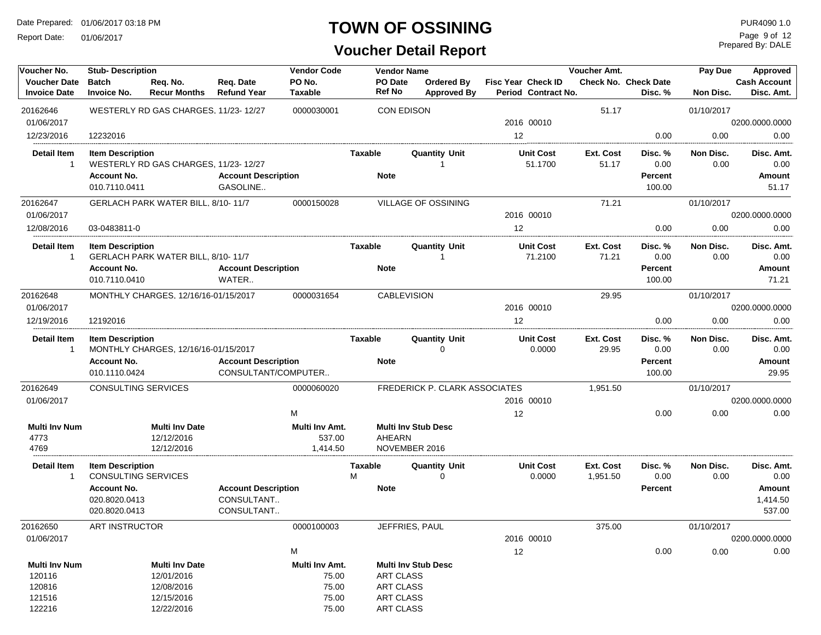Report Date: 01/06/2017

### **TOWN OF OSSINING**

## **Voucher Detail Report**

Prepared By: DALE Page 9 of 12

| Voucher No.                                | <b>Stub-Description</b>                               |                                      |                                                        | <b>Vendor Code</b>       |                        | <b>Vendor Name</b>       |                                         |                                           | Voucher Amt.          |                                        | Pay Due           | Approved                          |
|--------------------------------------------|-------------------------------------------------------|--------------------------------------|--------------------------------------------------------|--------------------------|------------------------|--------------------------|-----------------------------------------|-------------------------------------------|-----------------------|----------------------------------------|-------------------|-----------------------------------|
| <b>Voucher Date</b><br><b>Invoice Date</b> | <b>Batch</b><br><b>Invoice No.</b>                    | Req. No.<br><b>Recur Months</b>      | Req. Date<br><b>Refund Year</b>                        | PO No.<br><b>Taxable</b> |                        | PO Date<br><b>Ref No</b> | <b>Ordered By</b><br><b>Approved By</b> | Fisc Year Check ID<br>Period Contract No. |                       | <b>Check No. Check Date</b><br>Disc. % | Non Disc.         | <b>Cash Account</b><br>Disc. Amt. |
| 20162646                                   |                                                       | WESTERLY RD GAS CHARGES, 11/23-12/27 |                                                        | 0000030001               |                        | CON EDISON               |                                         |                                           | 51.17                 |                                        | 01/10/2017        |                                   |
| 01/06/2017                                 |                                                       |                                      |                                                        |                          |                        |                          |                                         | 2016 00010                                |                       |                                        |                   | 0200.0000.0000                    |
| 12/23/2016                                 | 12232016                                              |                                      |                                                        |                          |                        |                          |                                         | 12                                        |                       | 0.00                                   | 0.00              | 0.00                              |
| <b>Detail Item</b><br>$\mathbf{1}$         | <b>Item Description</b><br><b>Account No.</b>         | WESTERLY RD GAS CHARGES, 11/23-12/27 | <b>Account Description</b>                             |                          | Taxable<br><b>Note</b> |                          | <b>Quantity Unit</b><br>-1              | <b>Unit Cost</b><br>51.1700               | Ext. Cost<br>51.17    | Disc. %<br>0.00<br><b>Percent</b>      | Non Disc.<br>0.00 | Disc. Amt.<br>0.00<br>Amount      |
|                                            | 010.7110.0411                                         |                                      | GASOLINE                                               |                          |                        |                          |                                         |                                           |                       | 100.00                                 |                   | 51.17                             |
| 20162647                                   |                                                       | GERLACH PARK WATER BILL, 8/10-11/7   |                                                        | 0000150028               |                        |                          | VILLAGE OF OSSINING                     |                                           | 71.21                 |                                        | 01/10/2017        |                                   |
| 01/06/2017                                 |                                                       |                                      |                                                        |                          |                        |                          |                                         | 2016 00010                                |                       |                                        |                   | 0200.0000.0000                    |
| 12/08/2016                                 | 03-0483811-0                                          |                                      |                                                        |                          |                        |                          |                                         | 12                                        |                       | 0.00                                   | 0.00              | 0.00                              |
| <b>Detail Item</b><br>$\mathbf{1}$         | <b>Item Description</b><br><b>Account No.</b>         | GERLACH PARK WATER BILL, 8/10-11/7   | <b>Account Description</b>                             |                          | Taxable<br><b>Note</b> |                          | <b>Quantity Unit</b><br>-1              | <b>Unit Cost</b><br>71.2100               | Ext. Cost<br>71.21    | Disc. %<br>0.00<br><b>Percent</b>      | Non Disc.<br>0.00 | Disc. Amt.<br>0.00                |
|                                            | 010.7110.0410                                         |                                      | WATER                                                  |                          |                        |                          |                                         |                                           |                       | 100.00                                 |                   | Amount<br>71.21                   |
| 20162648                                   |                                                       | MONTHLY CHARGES, 12/16/16-01/15/2017 |                                                        | 0000031654               |                        | <b>CABLEVISION</b>       |                                         |                                           | 29.95                 |                                        | 01/10/2017        |                                   |
| 01/06/2017                                 |                                                       |                                      |                                                        |                          |                        |                          |                                         | 2016 00010                                |                       |                                        |                   | 0200.0000.0000                    |
| 12/19/2016                                 | 12192016                                              |                                      |                                                        |                          |                        |                          |                                         | 12                                        |                       | 0.00                                   | 0.00              | 0.00                              |
| <b>Detail Item</b><br>$\mathbf{1}$         | <b>Item Description</b>                               | MONTHLY CHARGES, 12/16/16-01/15/2017 |                                                        |                          | Taxable                |                          | <b>Quantity Unit</b><br>0               | <b>Unit Cost</b><br>0.0000                | Ext. Cost<br>29.95    | Disc. %<br>0.00                        | Non Disc.<br>0.00 | Disc. Amt.<br>0.00                |
|                                            | <b>Account No.</b><br>010.1110.0424                   |                                      | <b>Account Description</b><br>CONSULTANT/COMPUTER      |                          | <b>Note</b>            |                          |                                         |                                           |                       | <b>Percent</b><br>100.00               |                   | Amount<br>29.95                   |
| 20162649                                   | CONSULTING SERVICES                                   |                                      |                                                        | 0000060020               |                        |                          | FREDERICK P. CLARK ASSOCIATES           |                                           | 1,951.50              |                                        | 01/10/2017        |                                   |
| 01/06/2017                                 |                                                       |                                      |                                                        |                          |                        |                          |                                         | 2016 00010                                |                       |                                        |                   | 0200.0000.0000                    |
|                                            |                                                       |                                      |                                                        | M                        |                        |                          |                                         | 12                                        |                       | 0.00                                   | 0.00              | 0.00                              |
| <b>Multi Inv Num</b>                       |                                                       | <b>Multi Inv Date</b>                |                                                        | Multi Inv Amt.           |                        |                          | <b>Multi Inv Stub Desc</b>              |                                           |                       |                                        |                   |                                   |
| 4773<br>4769                               |                                                       | 12/12/2016<br>12/12/2016             |                                                        | 537.00<br>1,414.50       |                        | AHEARN                   | NOVEMBER 2016                           |                                           |                       |                                        |                   |                                   |
| <b>Detail Item</b><br>$\overline{1}$       | <b>Item Description</b><br><b>CONSULTING SERVICES</b> |                                      |                                                        |                          | Taxable<br>м           |                          | <b>Quantity Unit</b><br>0               | <b>Unit Cost</b><br>0.0000                | Ext. Cost<br>1,951.50 | Disc. %<br>0.00                        | Non Disc.<br>0.00 | Disc. Amt.<br>0.00                |
|                                            | <b>Account No.</b><br>020.8020.0413<br>020.8020.0413  |                                      | <b>Account Description</b><br>CONSULTANT<br>CONSULTANT |                          | <b>Note</b>            |                          |                                         |                                           |                       | <b>Percent</b>                         |                   | Amount<br>1,414.50<br>537.00      |
| 20162650                                   | ART INSTRUCTOR                                        |                                      |                                                        | 0000100003               |                        |                          | JEFFRIES, PAUL                          |                                           | 375.00                |                                        | 01/10/2017        |                                   |
| 01/06/2017                                 |                                                       |                                      |                                                        |                          |                        |                          |                                         | 2016 00010                                |                       |                                        |                   | 0200.0000.0000                    |
|                                            |                                                       |                                      |                                                        | M                        |                        |                          |                                         | 12                                        |                       | 0.00                                   | 0.00              | 0.00                              |
| <b>Multi Inv Num</b>                       |                                                       | <b>Multi Inv Date</b>                |                                                        | Multi Inv Amt.           |                        |                          | <b>Multi Inv Stub Desc</b>              |                                           |                       |                                        |                   |                                   |
| 120116                                     |                                                       | 12/01/2016                           |                                                        | 75.00                    |                        | ART CLASS                |                                         |                                           |                       |                                        |                   |                                   |
| 120816                                     |                                                       | 12/08/2016                           |                                                        | 75.00                    |                        | ART CLASS                |                                         |                                           |                       |                                        |                   |                                   |
| 121516                                     |                                                       | 12/15/2016                           |                                                        | 75.00                    |                        | ART CLASS                |                                         |                                           |                       |                                        |                   |                                   |
| 122216                                     |                                                       | 12/22/2016                           |                                                        | 75.00                    |                        | ART CLASS                |                                         |                                           |                       |                                        |                   |                                   |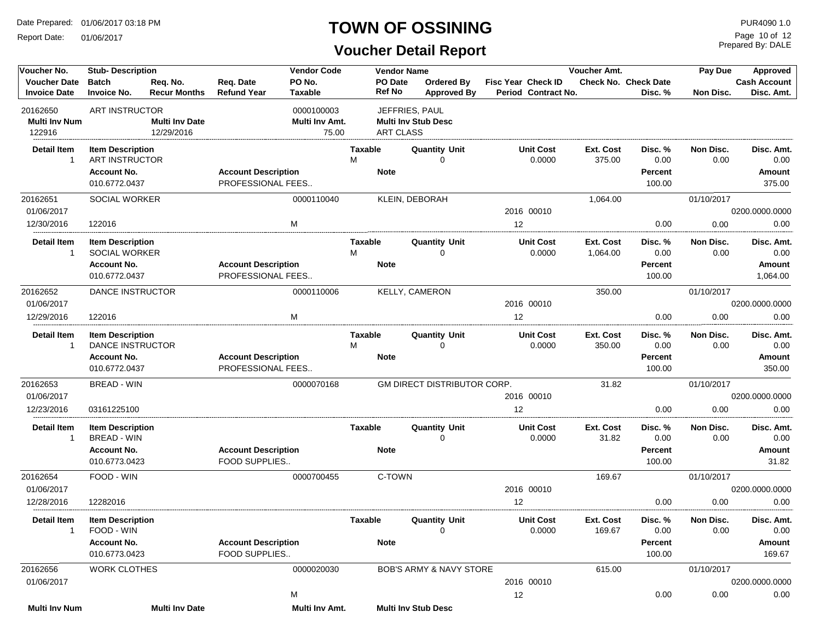Report Date: 01/06/2017

### **TOWN OF OSSINING**

## **Voucher Detail Report**

Prepared By: DALE Page 10 of 12

| Voucher No.                                | <b>Stub-Description</b>                            |                                     |                                                 | <b>Vendor Code</b>                    |              | <b>Vendor Name</b>                 |                                    |                                           | <b>Voucher Amt.</b>   |                                        | Pay Due           | Approved                          |
|--------------------------------------------|----------------------------------------------------|-------------------------------------|-------------------------------------------------|---------------------------------------|--------------|------------------------------------|------------------------------------|-------------------------------------------|-----------------------|----------------------------------------|-------------------|-----------------------------------|
| <b>Voucher Date</b><br><b>Invoice Date</b> | <b>Batch</b><br><b>Invoice No.</b>                 | Req. No.<br><b>Recur Months</b>     | Req. Date<br><b>Refund Year</b>                 | PO No.<br><b>Taxable</b>              |              | PO Date<br><b>Ref No</b>           | Ordered By<br><b>Approved By</b>   | Fisc Year Check ID<br>Period Contract No. |                       | <b>Check No. Check Date</b><br>Disc. % | Non Disc.         | <b>Cash Account</b><br>Disc. Amt. |
| 20162650<br><b>Multi Inv Num</b><br>122916 | <b>ART INSTRUCTOR</b>                              | <b>Multi Inv Date</b><br>12/29/2016 |                                                 | 0000100003<br>Multi Inv Amt.<br>75.00 |              | JEFFRIES, PAUL<br><b>ART CLASS</b> | <b>Multi Inv Stub Desc</b>         |                                           |                       |                                        |                   |                                   |
| <b>Detail Item</b><br>-1                   | <b>Item Description</b><br>ART INSTRUCTOR          |                                     |                                                 |                                       | Taxable<br>M |                                    | <b>Quantity Unit</b><br>0          | <b>Unit Cost</b><br>0.0000                | Ext. Cost<br>375.00   | Disc. %<br>0.00                        | Non Disc.<br>0.00 | Disc. Amt.<br>0.00                |
|                                            | <b>Account No.</b><br>010.6772.0437                |                                     | <b>Account Description</b><br>PROFESSIONAL FEES |                                       |              | <b>Note</b>                        |                                    |                                           |                       | Percent<br>100.00                      |                   | Amount<br>375.00                  |
| 20162651                                   | <b>SOCIAL WORKER</b>                               |                                     |                                                 | 0000110040                            |              |                                    | KLEIN, DEBORAH                     |                                           | 1,064.00              |                                        | 01/10/2017        |                                   |
| 01/06/2017                                 |                                                    |                                     |                                                 |                                       |              |                                    |                                    | 2016 00010                                |                       |                                        |                   | 0200.0000.0000                    |
| 12/30/2016                                 | 122016                                             |                                     |                                                 | M                                     |              |                                    |                                    | 12                                        |                       | 0.00                                   | 0.00              | 0.00                              |
| Detail Item<br>-1                          | <b>Item Description</b><br><b>SOCIAL WORKER</b>    |                                     |                                                 |                                       | Taxable<br>M |                                    | Quantity Unit<br>0                 | <b>Unit Cost</b><br>0.0000                | Ext. Cost<br>1,064.00 | Disc. %<br>0.00                        | Non Disc.<br>0.00 | Disc. Amt.<br>0.00                |
|                                            | <b>Account No.</b><br>010.6772.0437                |                                     | <b>Account Description</b><br>PROFESSIONAL FEES |                                       |              | <b>Note</b>                        |                                    |                                           |                       | Percent<br>100.00                      |                   | <b>Amount</b><br>1,064.00         |
| 20162652                                   | <b>DANCE INSTRUCTOR</b>                            |                                     |                                                 | 0000110006                            |              |                                    | KELLY, CAMERON                     |                                           | 350.00                |                                        | 01/10/2017        |                                   |
| 01/06/2017                                 |                                                    |                                     |                                                 |                                       |              |                                    |                                    | 2016 00010                                |                       |                                        |                   | 0200.0000.0000                    |
| 12/29/2016                                 | 122016                                             |                                     |                                                 | м                                     |              |                                    |                                    | 12                                        |                       | 0.00                                   | 0.00              | 0.00                              |
| <b>Detail Item</b><br>-1                   | <b>Item Description</b><br><b>DANCE INSTRUCTOR</b> |                                     |                                                 |                                       | Taxable<br>м |                                    | <b>Quantity Unit</b><br>0          | <b>Unit Cost</b><br>0.0000                | Ext. Cost<br>350.00   | Disc. %<br>0.00                        | Non Disc.<br>0.00 | Disc. Amt.<br>0.00                |
|                                            | <b>Account No.</b>                                 |                                     | <b>Account Description</b>                      |                                       |              | <b>Note</b>                        |                                    |                                           |                       | Percent                                |                   | <b>Amount</b>                     |
|                                            | 010.6772.0437                                      |                                     | PROFESSIONAL FEES                               |                                       |              |                                    |                                    |                                           |                       | 100.00                                 |                   | 350.00                            |
| 20162653                                   | BREAD - WIN                                        |                                     |                                                 | 0000070168                            |              |                                    | GM DIRECT DISTRIBUTOR CORP.        |                                           | 31.82                 |                                        | 01/10/2017        |                                   |
| 01/06/2017                                 |                                                    |                                     |                                                 |                                       |              |                                    |                                    | 2016 00010                                |                       |                                        |                   | 0200.0000.0000                    |
| 12/23/2016                                 | 03161225100                                        |                                     |                                                 |                                       |              |                                    |                                    | 12                                        |                       | 0.00                                   | 0.00              | 0.00                              |
| <b>Detail Item</b><br>1                    | <b>Item Description</b><br>BREAD - WIN             |                                     |                                                 |                                       | Taxable      |                                    | Quantity Unit<br>0                 | <b>Unit Cost</b><br>0.0000                | Ext. Cost<br>31.82    | Disc. %<br>0.00                        | Non Disc.<br>0.00 | Disc. Amt.<br>0.00                |
|                                            | <b>Account No.</b><br>010.6773.0423                |                                     | <b>Account Description</b><br>FOOD SUPPLIES     |                                       |              | <b>Note</b>                        |                                    |                                           |                       | Percent<br>100.00                      |                   | <b>Amount</b><br>31.82            |
| 20162654                                   | FOOD - WIN                                         |                                     |                                                 | 0000700455                            |              | C-TOWN                             |                                    |                                           | 169.67                |                                        | 01/10/2017        |                                   |
| 01/06/2017                                 |                                                    |                                     |                                                 |                                       |              |                                    |                                    | 2016 00010                                |                       |                                        |                   | 0200.0000.0000                    |
| 12/28/2016                                 | 12282016                                           |                                     |                                                 |                                       |              |                                    |                                    | 12                                        |                       | 0.00                                   | 0.00              | 0.00                              |
| Detail Item<br>$\mathbf 1$                 | <b>Item Description</b><br>FOOD - WIN              |                                     |                                                 |                                       | Taxable      |                                    | <b>Quantity Unit</b><br>0          | <b>Unit Cost</b><br>0.0000                | Ext. Cost<br>169.67   | Disc. %<br>0.00                        | Non Disc.<br>0.00 | Disc. Amt.<br>0.00                |
|                                            | <b>Account No.</b><br>010.6773.0423                |                                     | <b>Account Description</b><br>FOOD SUPPLIES     |                                       |              | <b>Note</b>                        |                                    |                                           |                       | Percent<br>100.00                      |                   | <b>Amount</b><br>169.67           |
| 20162656                                   | <b>WORK CLOTHES</b>                                |                                     |                                                 | 0000020030                            |              |                                    | <b>BOB'S ARMY &amp; NAVY STORE</b> |                                           | 615.00                |                                        | 01/10/2017        |                                   |
| 01/06/2017                                 |                                                    |                                     |                                                 |                                       |              |                                    |                                    | 2016 00010                                |                       |                                        |                   | 0200.0000.0000                    |
|                                            |                                                    |                                     |                                                 | M                                     |              |                                    |                                    | 12                                        |                       | 0.00                                   | 0.00              | 0.00                              |
| <b>Multi Inv Num</b>                       |                                                    | <b>Multi Inv Date</b>               |                                                 | Multi Inv Amt.                        |              |                                    | <b>Multi Inv Stub Desc</b>         |                                           |                       |                                        |                   |                                   |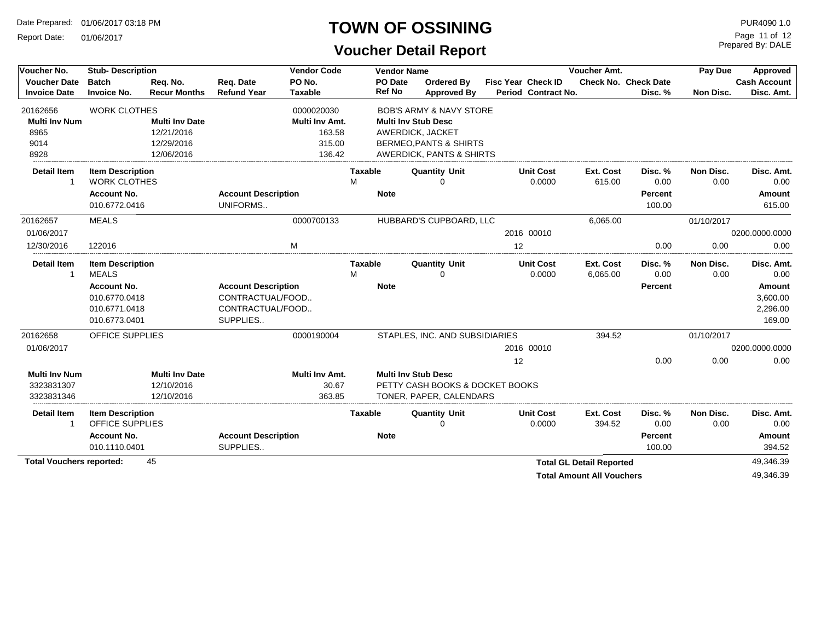Report Date: 01/06/2017

### **TOWN OF OSSINING**

## **Voucher Detail Report**

Prepared By: DALE Page 11 of 12

| Voucher No.                                | <b>Stub-Description</b>     |                                 |                                 | <b>Vendor Code</b>       |                          | <b>Vendor Name</b>                  |                                           | Voucher Amt.                     |                                 | Pay Due          | Approved                          |
|--------------------------------------------|-----------------------------|---------------------------------|---------------------------------|--------------------------|--------------------------|-------------------------------------|-------------------------------------------|----------------------------------|---------------------------------|------------------|-----------------------------------|
| <b>Voucher Date</b><br><b>Invoice Date</b> | <b>Batch</b><br>Invoice No. | Req. No.<br><b>Recur Months</b> | Req. Date<br><b>Refund Year</b> | PO No.<br><b>Taxable</b> | PO Date<br><b>Ref No</b> | Ordered By<br><b>Approved By</b>    | Fisc Year Check ID<br>Period Contract No. |                                  | Check No. Check Date<br>Disc. % | Non Disc.        | <b>Cash Account</b><br>Disc. Amt. |
| 20162656                                   | <b>WORK CLOTHES</b>         |                                 |                                 | 0000020030               |                          | <b>BOB'S ARMY &amp; NAVY STORE</b>  |                                           |                                  |                                 |                  |                                   |
| <b>Multi Inv Num</b>                       |                             | <b>Multi Inv Date</b>           |                                 | Multi Inv Amt.           |                          | <b>Multi Inv Stub Desc</b>          |                                           |                                  |                                 |                  |                                   |
| 8965                                       |                             | 12/21/2016                      |                                 | 163.58                   |                          | AWERDICK, JACKET                    |                                           |                                  |                                 |                  |                                   |
| 9014                                       |                             | 12/29/2016                      |                                 | 315.00                   |                          | <b>BERMEO.PANTS &amp; SHIRTS</b>    |                                           |                                  |                                 |                  |                                   |
| 8928                                       |                             | 12/06/2016                      |                                 | 136.42                   |                          | <b>AWERDICK, PANTS &amp; SHIRTS</b> |                                           |                                  |                                 |                  |                                   |
| <b>Detail Item</b>                         | <b>Item Description</b>     |                                 |                                 |                          | <b>Taxable</b>           | <b>Quantity Unit</b>                | <b>Unit Cost</b>                          | Ext. Cost                        | Disc. %                         | <b>Non Disc.</b> | Disc. Amt.                        |
| -1                                         | <b>WORK CLOTHES</b>         |                                 |                                 |                          | M                        |                                     | 0.0000                                    | 615.00                           | 0.00                            | 0.00             | 0.00                              |
|                                            | <b>Account No.</b>          |                                 | <b>Account Description</b>      |                          | <b>Note</b>              |                                     |                                           |                                  | Percent                         |                  | <b>Amount</b>                     |
|                                            | 010.6772.0416               |                                 | UNIFORMS                        |                          |                          |                                     |                                           |                                  | 100.00                          |                  | 615.00                            |
| 20162657                                   | <b>MEALS</b>                |                                 |                                 | 0000700133               |                          | HUBBARD'S CUPBOARD, LLC             |                                           | 6,065.00                         |                                 | 01/10/2017       |                                   |
| 01/06/2017                                 |                             |                                 |                                 |                          |                          |                                     | 2016 00010                                |                                  |                                 |                  | 0200.0000.0000                    |
| 12/30/2016                                 | 122016                      |                                 |                                 | M                        |                          |                                     | 12                                        |                                  | 0.00                            | 0.00             | 0.00                              |
| <b>Detail Item</b>                         | <b>Item Description</b>     |                                 |                                 |                          | <b>Taxable</b>           | <b>Quantity Unit</b>                | <b>Unit Cost</b>                          | Ext. Cost                        | Disc. %                         | Non Disc.        | Disc. Amt.                        |
| 1                                          | <b>MEALS</b>                |                                 |                                 |                          | M                        | $\Omega$                            | 0.0000                                    | 6,065.00                         | 0.00                            | 0.00             | 0.00                              |
|                                            | <b>Account No.</b>          |                                 | <b>Account Description</b>      |                          | <b>Note</b>              |                                     |                                           |                                  | <b>Percent</b>                  |                  | Amount                            |
|                                            | 010.6770.0418               |                                 | CONTRACTUAL/FOOD                |                          |                          |                                     |                                           |                                  |                                 |                  | 3,600.00                          |
|                                            | 010.6771.0418               |                                 | CONTRACTUAL/FOOD                |                          |                          |                                     |                                           |                                  |                                 |                  | 2,296.00                          |
|                                            | 010.6773.0401               |                                 | SUPPLIES                        |                          |                          |                                     |                                           |                                  |                                 |                  | 169.00                            |
| 20162658                                   | OFFICE SUPPLIES             |                                 |                                 | 0000190004               |                          | STAPLES, INC. AND SUBSIDIARIES      |                                           | 394.52                           |                                 | 01/10/2017       |                                   |
| 01/06/2017                                 |                             |                                 |                                 |                          |                          |                                     | 2016 00010                                |                                  |                                 |                  | 0200.0000.0000                    |
|                                            |                             |                                 |                                 |                          |                          |                                     | 12                                        |                                  | 0.00                            | 0.00             | 0.00                              |
| <b>Multi Inv Num</b>                       |                             | <b>Multi Inv Date</b>           |                                 | <b>Multi Inv Amt.</b>    |                          | <b>Multi Inv Stub Desc</b>          |                                           |                                  |                                 |                  |                                   |
| 3323831307                                 |                             | 12/10/2016                      |                                 | 30.67                    |                          | PETTY CASH BOOKS & DOCKET BOOKS     |                                           |                                  |                                 |                  |                                   |
| 3323831346                                 |                             | 12/10/2016                      |                                 | 363.85                   |                          | TONER, PAPER, CALENDARS             |                                           |                                  |                                 |                  |                                   |
| <b>Detail Item</b>                         | <b>Item Description</b>     |                                 |                                 |                          | <b>Taxable</b>           | <b>Quantity Unit</b>                | <b>Unit Cost</b>                          | <b>Ext. Cost</b>                 | Disc. %                         | Non Disc.        | Disc. Amt.                        |
| $\overline{1}$                             | <b>OFFICE SUPPLIES</b>      |                                 |                                 |                          |                          | U                                   | 0.0000                                    | 394.52                           | 0.00                            | 0.00             | 0.00                              |
|                                            | <b>Account No.</b>          |                                 | <b>Account Description</b>      |                          | <b>Note</b>              |                                     |                                           |                                  | <b>Percent</b>                  |                  | Amount                            |
|                                            | 010.1110.0401               |                                 | SUPPLIES                        |                          |                          |                                     |                                           |                                  | 100.00                          |                  | 394.52                            |
| <b>Total Vouchers reported:</b>            |                             | 45                              |                                 |                          |                          |                                     |                                           | <b>Total GL Detail Reported</b>  |                                 |                  | 49,346.39                         |
|                                            |                             |                                 |                                 |                          |                          |                                     |                                           | <b>Total Amount All Vouchers</b> |                                 |                  | 49.346.39                         |